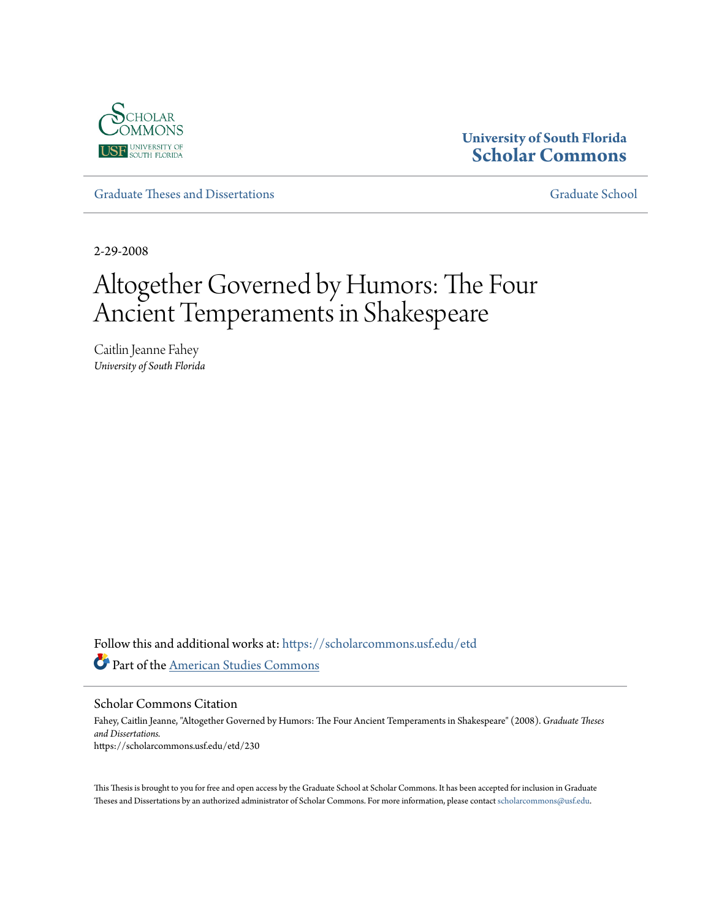

# **University of South Florida [Scholar Commons](https://scholarcommons.usf.edu?utm_source=scholarcommons.usf.edu%2Fetd%2F230&utm_medium=PDF&utm_campaign=PDFCoverPages)**

[Graduate Theses and Dissertations](https://scholarcommons.usf.edu/etd?utm_source=scholarcommons.usf.edu%2Fetd%2F230&utm_medium=PDF&utm_campaign=PDFCoverPages) [Graduate School](https://scholarcommons.usf.edu/grad?utm_source=scholarcommons.usf.edu%2Fetd%2F230&utm_medium=PDF&utm_campaign=PDFCoverPages)

2-29-2008

# Altogether Governed by Humors: The Four Ancient Temperaments in Shakespeare

Caitlin Jeanne Fahey *University of South Florida*

Follow this and additional works at: [https://scholarcommons.usf.edu/etd](https://scholarcommons.usf.edu/etd?utm_source=scholarcommons.usf.edu%2Fetd%2F230&utm_medium=PDF&utm_campaign=PDFCoverPages) Part of the [American Studies Commons](http://network.bepress.com/hgg/discipline/439?utm_source=scholarcommons.usf.edu%2Fetd%2F230&utm_medium=PDF&utm_campaign=PDFCoverPages)

Scholar Commons Citation

Fahey, Caitlin Jeanne, "Altogether Governed by Humors: The Four Ancient Temperaments in Shakespeare" (2008). *Graduate Theses and Dissertations.* https://scholarcommons.usf.edu/etd/230

This Thesis is brought to you for free and open access by the Graduate School at Scholar Commons. It has been accepted for inclusion in Graduate Theses and Dissertations by an authorized administrator of Scholar Commons. For more information, please contact [scholarcommons@usf.edu.](mailto:scholarcommons@usf.edu)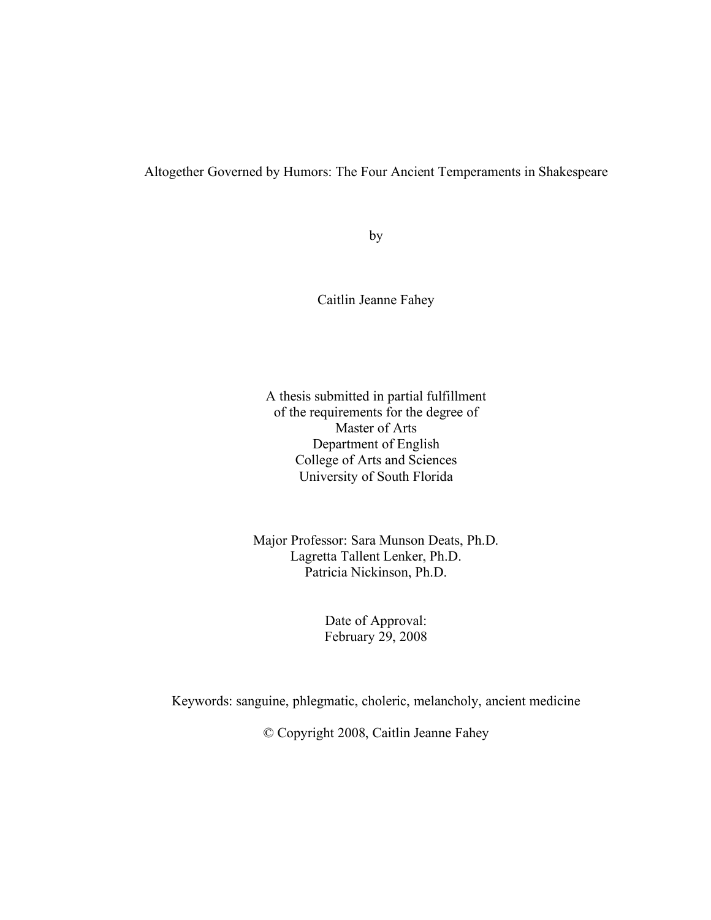### Altogether Governed by Humors: The Four Ancient Temperaments in Shakespeare

by

Caitlin Jeanne Fahey

A thesis submitted in partial fulfillment of the requirements for the degree of Master of Arts Department of English College of Arts and Sciences University of South Florida

Major Professor: Sara Munson Deats, Ph.D. Lagretta Tallent Lenker, Ph.D. Patricia Nickinson, Ph.D.

> Date of Approval: February 29, 2008

Keywords: sanguine, phlegmatic, choleric, melancholy, ancient medicine

© Copyright 2008, Caitlin Jeanne Fahey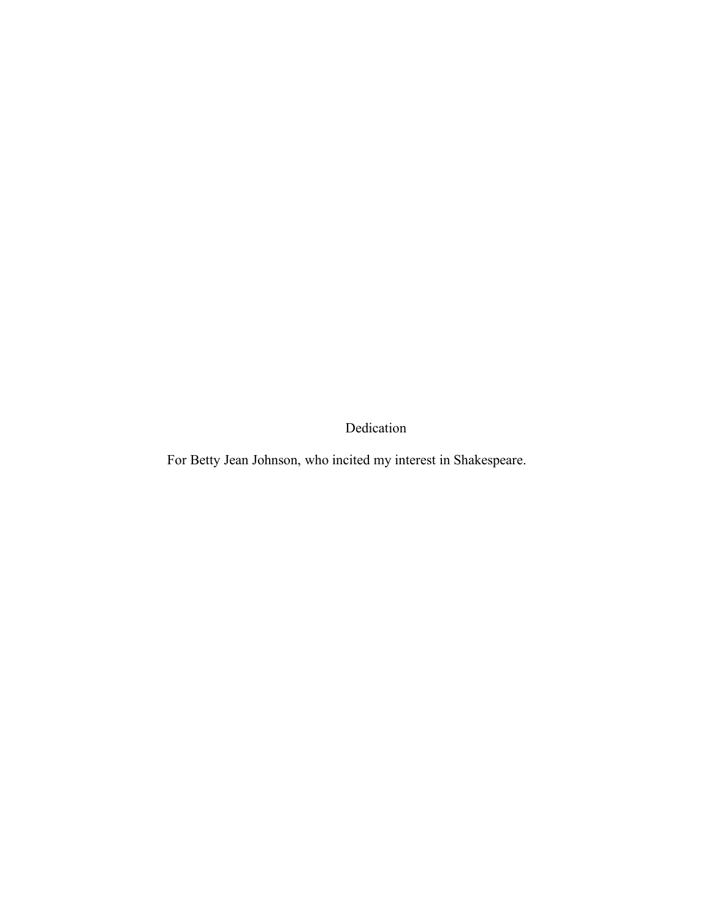Dedication

For Betty Jean Johnson, who incited my interest in Shakespeare.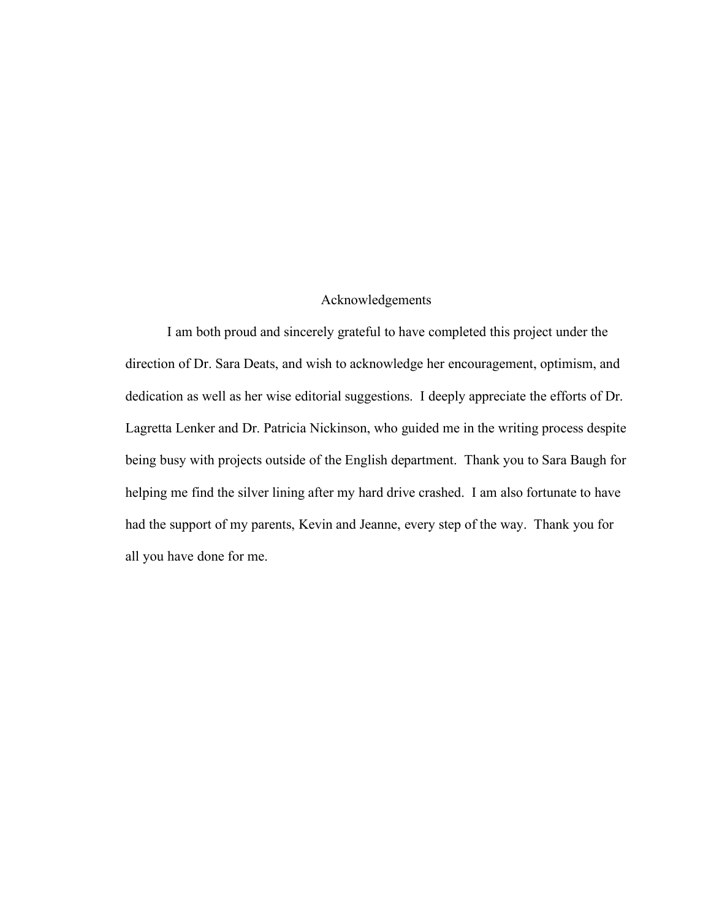#### Acknowledgements

I am both proud and sincerely grateful to have completed this project under the direction of Dr. Sara Deats, and wish to acknowledge her encouragement, optimism, and dedication as well as her wise editorial suggestions. I deeply appreciate the efforts of Dr. Lagretta Lenker and Dr. Patricia Nickinson, who guided me in the writing process despite being busy with projects outside of the English department. Thank you to Sara Baugh for helping me find the silver lining after my hard drive crashed. I am also fortunate to have had the support of my parents, Kevin and Jeanne, every step of the way. Thank you for all you have done for me.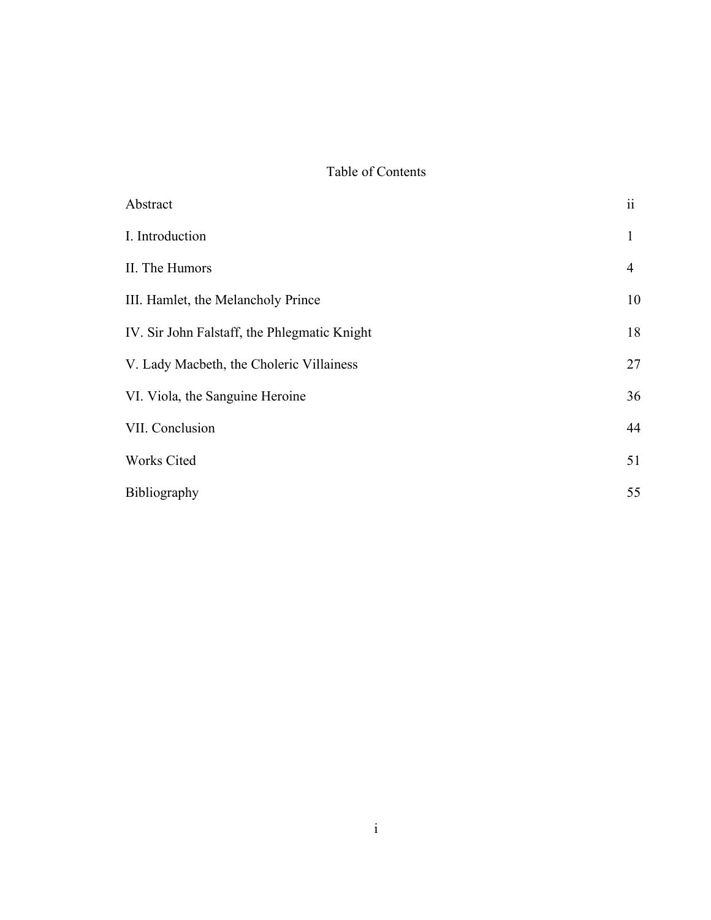# Table of Contents

| Abstract                                     | $\ddot{\rm{11}}$ |
|----------------------------------------------|------------------|
| I. Introduction                              | $\mathbf{1}$     |
| II. The Humors                               | 4                |
| III. Hamlet, the Melancholy Prince           | 10               |
| IV. Sir John Falstaff, the Phlegmatic Knight | 18               |
| V. Lady Macbeth, the Choleric Villainess     | 27               |
| VI. Viola, the Sanguine Heroine              | 36               |
| VII. Conclusion                              | 44               |
| <b>Works Cited</b>                           | 51               |
| <b>Bibliography</b>                          | 55               |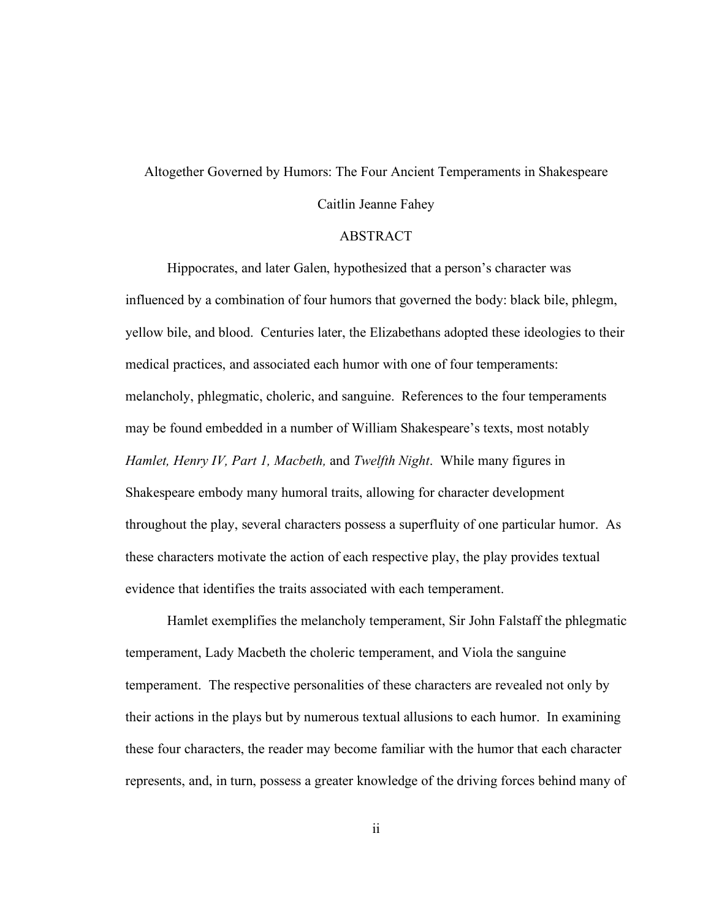# Altogether Governed by Humors: The Four Ancient Temperaments in Shakespeare Caitlin Jeanne Fahey

#### ABSTRACT

Hippocrates, and later Galen, hypothesized that a person's character was influenced by a combination of four humors that governed the body: black bile, phlegm, yellow bile, and blood. Centuries later, the Elizabethans adopted these ideologies to their medical practices, and associated each humor with one of four temperaments: melancholy, phlegmatic, choleric, and sanguine. References to the four temperaments may be found embedded in a number of William Shakespeare's texts, most notably *Hamlet, Henry IV, Part 1, Macbeth,* and *Twelfth Night*. While many figures in Shakespeare embody many humoral traits, allowing for character development throughout the play, several characters possess a superfluity of one particular humor. As these characters motivate the action of each respective play, the play provides textual evidence that identifies the traits associated with each temperament.

Hamlet exemplifies the melancholy temperament, Sir John Falstaff the phlegmatic temperament, Lady Macbeth the choleric temperament, and Viola the sanguine temperament. The respective personalities of these characters are revealed not only by their actions in the plays but by numerous textual allusions to each humor. In examining these four characters, the reader may become familiar with the humor that each character represents, and, in turn, possess a greater knowledge of the driving forces behind many of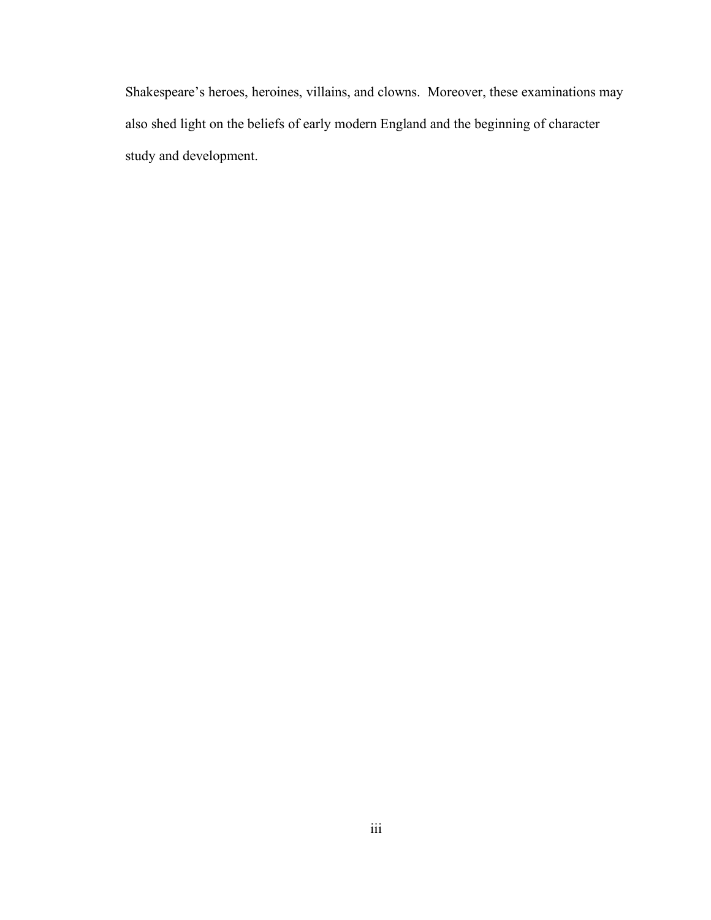Shakespeare's heroes, heroines, villains, and clowns. Moreover, these examinations may also shed light on the beliefs of early modern England and the beginning of character study and development.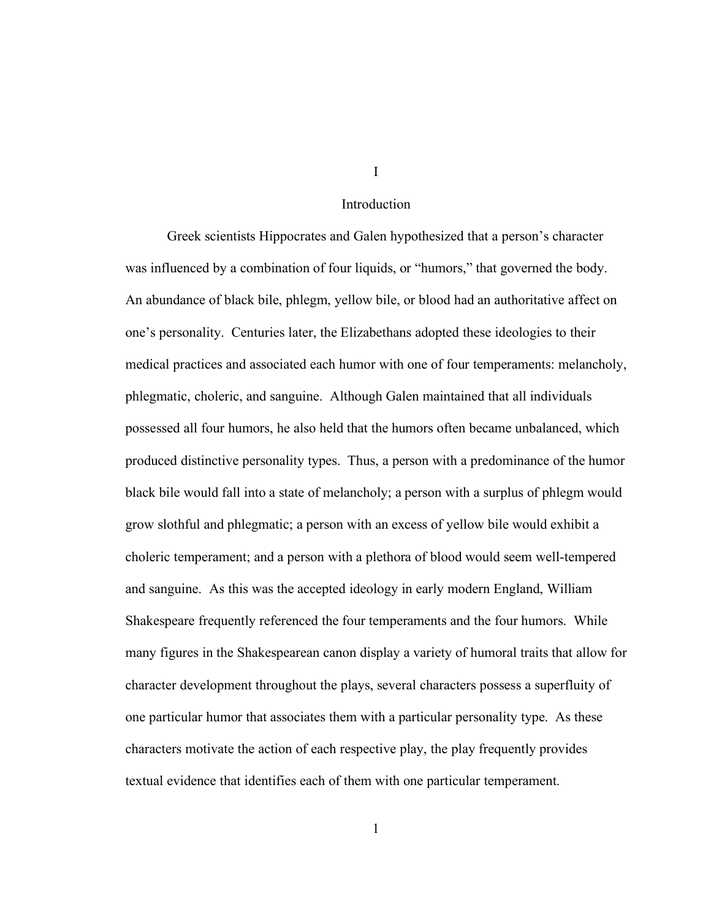#### Introduction

Greek scientists Hippocrates and Galen hypothesized that a person's character was influenced by a combination of four liquids, or "humors," that governed the body. An abundance of black bile, phlegm, yellow bile, or blood had an authoritative affect on one's personality. Centuries later, the Elizabethans adopted these ideologies to their medical practices and associated each humor with one of four temperaments: melancholy, phlegmatic, choleric, and sanguine. Although Galen maintained that all individuals possessed all four humors, he also held that the humors often became unbalanced, which produced distinctive personality types. Thus, a person with a predominance of the humor black bile would fall into a state of melancholy; a person with a surplus of phlegm would grow slothful and phlegmatic; a person with an excess of yellow bile would exhibit a choleric temperament; and a person with a plethora of blood would seem well-tempered and sanguine. As this was the accepted ideology in early modern England, William Shakespeare frequently referenced the four temperaments and the four humors. While many figures in the Shakespearean canon display a variety of humoral traits that allow for character development throughout the plays, several characters possess a superfluity of one particular humor that associates them with a particular personality type. As these characters motivate the action of each respective play, the play frequently provides textual evidence that identifies each of them with one particular temperament.

I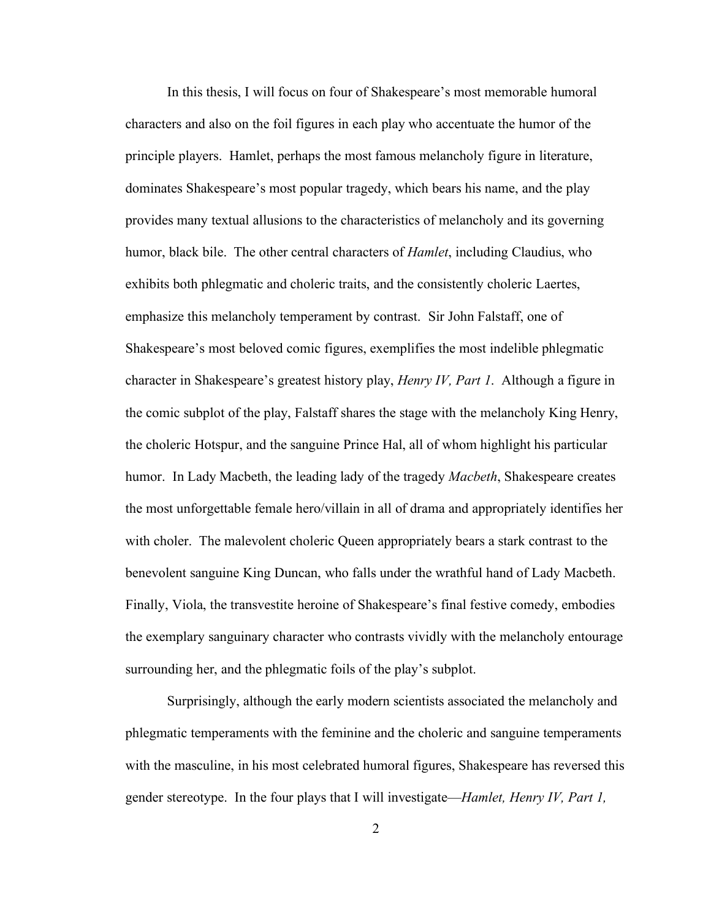In this thesis, I will focus on four of Shakespeare's most memorable humoral characters and also on the foil figures in each play who accentuate the humor of the principle players. Hamlet, perhaps the most famous melancholy figure in literature, dominates Shakespeare's most popular tragedy, which bears his name, and the play provides many textual allusions to the characteristics of melancholy and its governing humor, black bile. The other central characters of *Hamlet*, including Claudius, who exhibits both phlegmatic and choleric traits, and the consistently choleric Laertes, emphasize this melancholy temperament by contrast. Sir John Falstaff, one of Shakespeare's most beloved comic figures, exemplifies the most indelible phlegmatic character in Shakespeare's greatest history play, *Henry IV, Part 1*. Although a figure in the comic subplot of the play, Falstaff shares the stage with the melancholy King Henry, the choleric Hotspur, and the sanguine Prince Hal, all of whom highlight his particular humor. In Lady Macbeth, the leading lady of the tragedy *Macbeth*, Shakespeare creates the most unforgettable female hero/villain in all of drama and appropriately identifies her with choler. The malevolent choleric Queen appropriately bears a stark contrast to the benevolent sanguine King Duncan, who falls under the wrathful hand of Lady Macbeth. Finally, Viola, the transvestite heroine of Shakespeare's final festive comedy, embodies the exemplary sanguinary character who contrasts vividly with the melancholy entourage surrounding her, and the phlegmatic foils of the play's subplot.

Surprisingly, although the early modern scientists associated the melancholy and phlegmatic temperaments with the feminine and the choleric and sanguine temperaments with the masculine, in his most celebrated humoral figures, Shakespeare has reversed this gender stereotype. In the four plays that I will investigate—*Hamlet, Henry IV, Part 1,*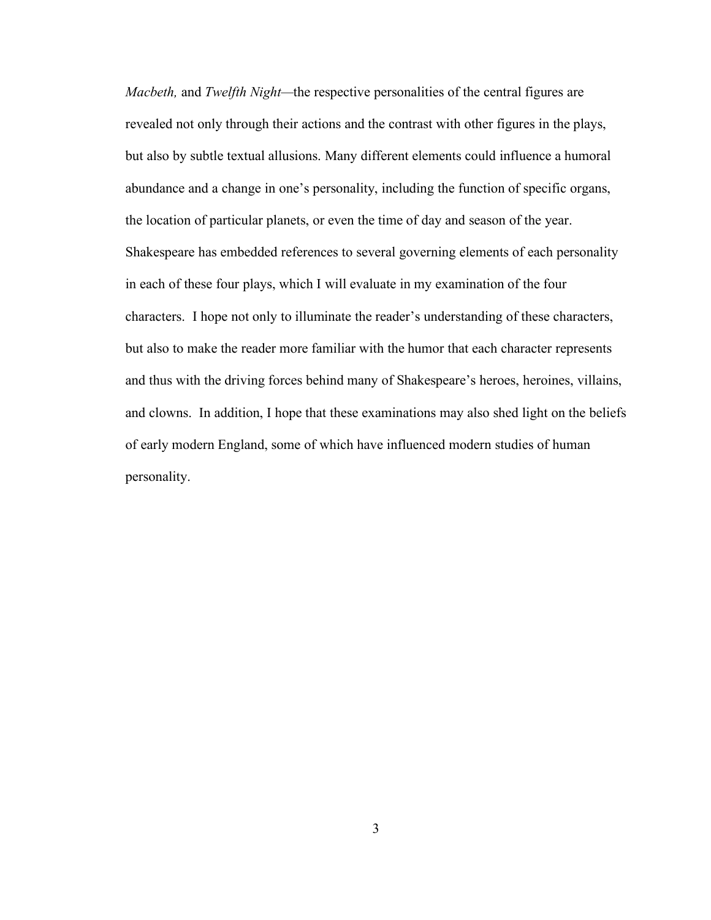*Macbeth,* and *Twelfth Night—*the respective personalities of the central figures are revealed not only through their actions and the contrast with other figures in the plays, but also by subtle textual allusions. Many different elements could influence a humoral abundance and a change in one's personality, including the function of specific organs, the location of particular planets, or even the time of day and season of the year. Shakespeare has embedded references to several governing elements of each personality in each of these four plays, which I will evaluate in my examination of the four characters. I hope not only to illuminate the reader's understanding of these characters, but also to make the reader more familiar with the humor that each character represents and thus with the driving forces behind many of Shakespeare's heroes, heroines, villains, and clowns. In addition, I hope that these examinations may also shed light on the beliefs of early modern England, some of which have influenced modern studies of human personality.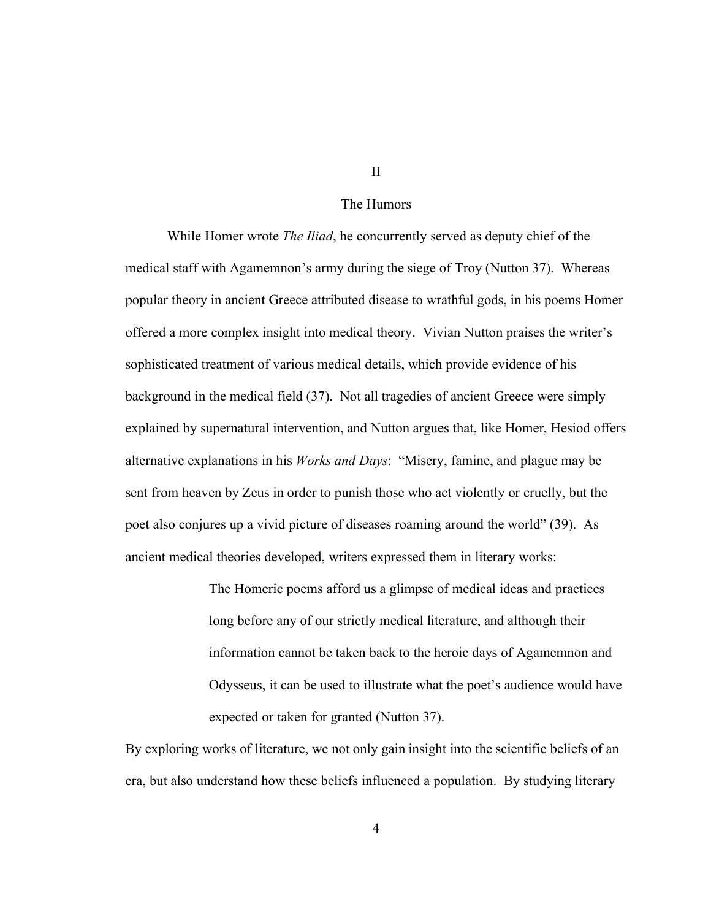#### The Humors

While Homer wrote *The Iliad*, he concurrently served as deputy chief of the medical staff with Agamemnon's army during the siege of Troy (Nutton 37). Whereas popular theory in ancient Greece attributed disease to wrathful gods, in his poems Homer offered a more complex insight into medical theory. Vivian Nutton praises the writer's sophisticated treatment of various medical details, which provide evidence of his background in the medical field (37). Not all tragedies of ancient Greece were simply explained by supernatural intervention, and Nutton argues that, like Homer, Hesiod offers alternative explanations in his *Works and Days*: "Misery, famine, and plague may be sent from heaven by Zeus in order to punish those who act violently or cruelly, but the poet also conjures up a vivid picture of diseases roaming around the world" (39). As ancient medical theories developed, writers expressed them in literary works:

> The Homeric poems afford us a glimpse of medical ideas and practices long before any of our strictly medical literature, and although their information cannot be taken back to the heroic days of Agamemnon and Odysseus, it can be used to illustrate what the poet's audience would have expected or taken for granted (Nutton 37).

By exploring works of literature, we not only gain insight into the scientific beliefs of an era, but also understand how these beliefs influenced a population. By studying literary

II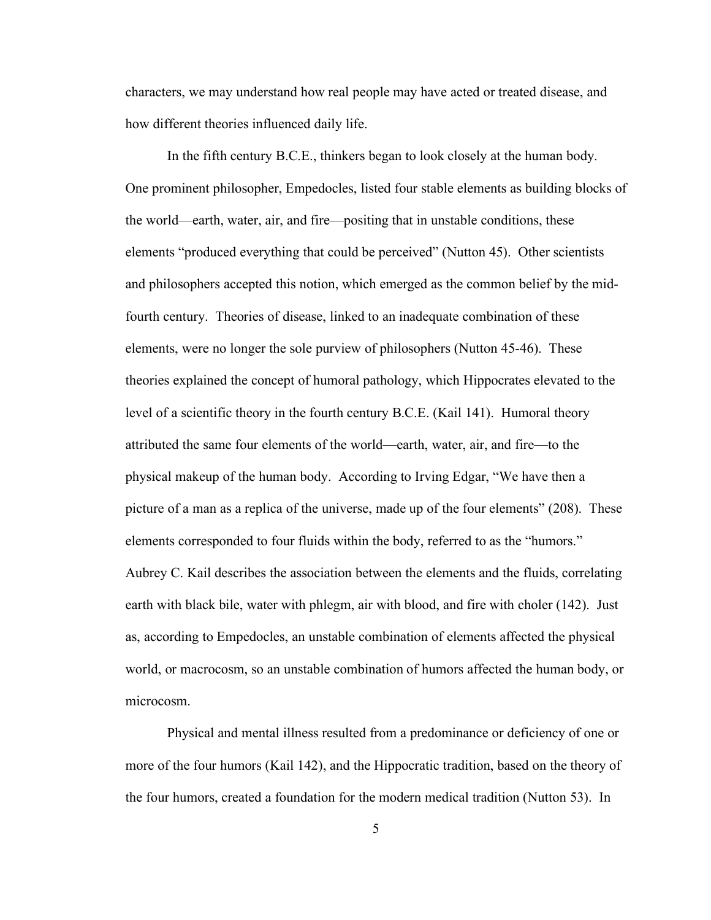characters, we may understand how real people may have acted or treated disease, and how different theories influenced daily life.

In the fifth century B.C.E., thinkers began to look closely at the human body. One prominent philosopher, Empedocles, listed four stable elements as building blocks of the world—earth, water, air, and fire—positing that in unstable conditions, these elements "produced everything that could be perceived" (Nutton 45). Other scientists and philosophers accepted this notion, which emerged as the common belief by the midfourth century. Theories of disease, linked to an inadequate combination of these elements, were no longer the sole purview of philosophers (Nutton 45-46). These theories explained the concept of humoral pathology, which Hippocrates elevated to the level of a scientific theory in the fourth century B.C.E. (Kail 141). Humoral theory attributed the same four elements of the world—earth, water, air, and fire—to the physical makeup of the human body. According to Irving Edgar, "We have then a picture of a man as a replica of the universe, made up of the four elements" (208). These elements corresponded to four fluids within the body, referred to as the "humors." Aubrey C. Kail describes the association between the elements and the fluids, correlating earth with black bile, water with phlegm, air with blood, and fire with choler (142). Just as, according to Empedocles, an unstable combination of elements affected the physical world, or macrocosm, so an unstable combination of humors affected the human body, or microcosm.

Physical and mental illness resulted from a predominance or deficiency of one or more of the four humors (Kail 142), and the Hippocratic tradition, based on the theory of the four humors, created a foundation for the modern medical tradition (Nutton 53). In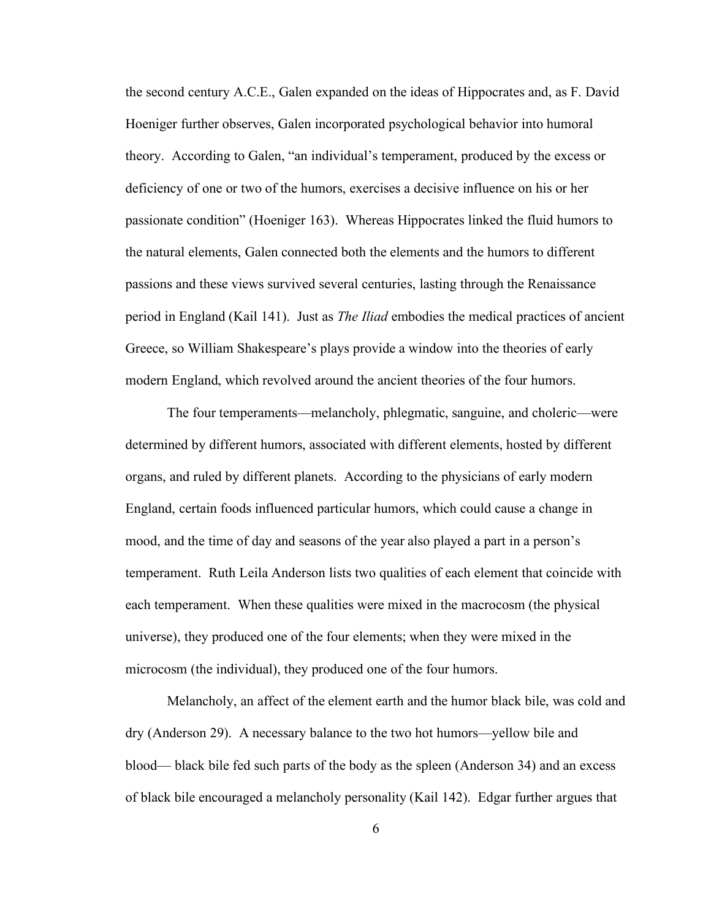the second century A.C.E., Galen expanded on the ideas of Hippocrates and, as F. David Hoeniger further observes, Galen incorporated psychological behavior into humoral theory. According to Galen, "an individual's temperament, produced by the excess or deficiency of one or two of the humors, exercises a decisive influence on his or her passionate condition" (Hoeniger 163). Whereas Hippocrates linked the fluid humors to the natural elements, Galen connected both the elements and the humors to different passions and these views survived several centuries, lasting through the Renaissance period in England (Kail 141). Just as *The Iliad* embodies the medical practices of ancient Greece, so William Shakespeare's plays provide a window into the theories of early modern England, which revolved around the ancient theories of the four humors.

The four temperaments—melancholy, phlegmatic, sanguine, and choleric—were determined by different humors, associated with different elements, hosted by different organs, and ruled by different planets. According to the physicians of early modern England, certain foods influenced particular humors, which could cause a change in mood, and the time of day and seasons of the year also played a part in a person's temperament. Ruth Leila Anderson lists two qualities of each element that coincide with each temperament. When these qualities were mixed in the macrocosm (the physical universe), they produced one of the four elements; when they were mixed in the microcosm (the individual), they produced one of the four humors.

Melancholy, an affect of the element earth and the humor black bile, was cold and dry (Anderson 29). A necessary balance to the two hot humors—yellow bile and blood— black bile fed such parts of the body as the spleen (Anderson 34) and an excess of black bile encouraged a melancholy personality (Kail 142). Edgar further argues that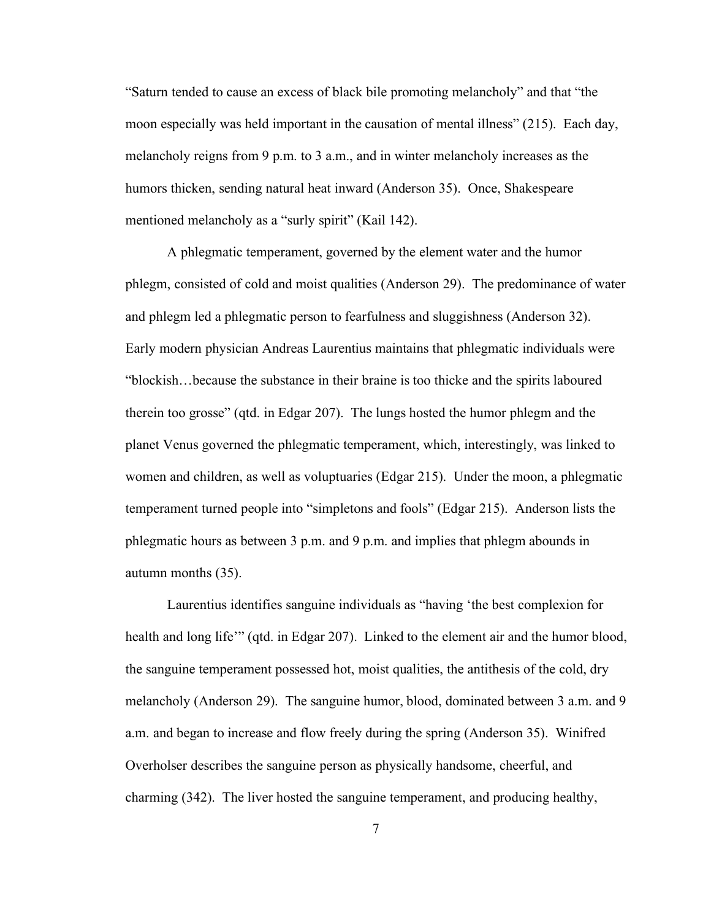"Saturn tended to cause an excess of black bile promoting melancholy" and that "the moon especially was held important in the causation of mental illness" (215). Each day, melancholy reigns from 9 p.m. to 3 a.m., and in winter melancholy increases as the humors thicken, sending natural heat inward (Anderson 35). Once, Shakespeare mentioned melancholy as a "surly spirit" (Kail 142).

A phlegmatic temperament, governed by the element water and the humor phlegm, consisted of cold and moist qualities (Anderson 29). The predominance of water and phlegm led a phlegmatic person to fearfulness and sluggishness (Anderson 32). Early modern physician Andreas Laurentius maintains that phlegmatic individuals were "blockish…because the substance in their braine is too thicke and the spirits laboured therein too grosse" (qtd. in Edgar 207). The lungs hosted the humor phlegm and the planet Venus governed the phlegmatic temperament, which, interestingly, was linked to women and children, as well as voluptuaries (Edgar 215). Under the moon, a phlegmatic temperament turned people into "simpletons and fools" (Edgar 215). Anderson lists the phlegmatic hours as between 3 p.m. and 9 p.m. and implies that phlegm abounds in autumn months (35).

Laurentius identifies sanguine individuals as "having 'the best complexion for health and long life'" (qtd. in Edgar 207). Linked to the element air and the humor blood, the sanguine temperament possessed hot, moist qualities, the antithesis of the cold, dry melancholy (Anderson 29). The sanguine humor, blood, dominated between 3 a.m. and 9 a.m. and began to increase and flow freely during the spring (Anderson 35). Winifred Overholser describes the sanguine person as physically handsome, cheerful, and charming (342). The liver hosted the sanguine temperament, and producing healthy,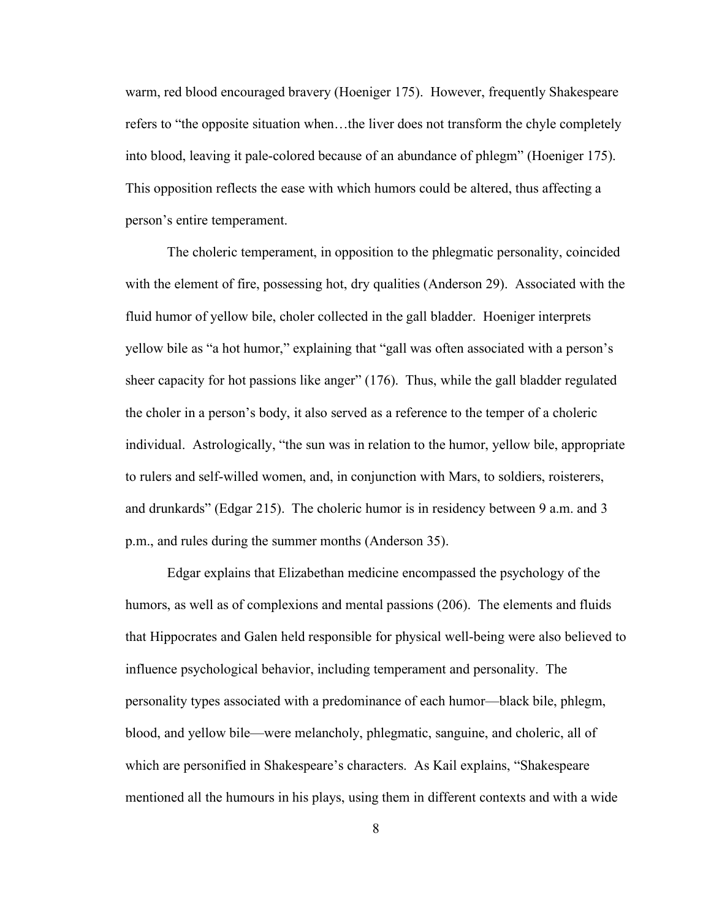warm, red blood encouraged bravery (Hoeniger 175). However, frequently Shakespeare refers to "the opposite situation when…the liver does not transform the chyle completely into blood, leaving it pale-colored because of an abundance of phlegm" (Hoeniger 175). This opposition reflects the ease with which humors could be altered, thus affecting a person's entire temperament.

The choleric temperament, in opposition to the phlegmatic personality, coincided with the element of fire, possessing hot, dry qualities (Anderson 29). Associated with the fluid humor of yellow bile, choler collected in the gall bladder. Hoeniger interprets yellow bile as "a hot humor," explaining that "gall was often associated with a person's sheer capacity for hot passions like anger" (176). Thus, while the gall bladder regulated the choler in a person's body, it also served as a reference to the temper of a choleric individual. Astrologically, "the sun was in relation to the humor, yellow bile, appropriate to rulers and self-willed women, and, in conjunction with Mars, to soldiers, roisterers, and drunkards" (Edgar 215). The choleric humor is in residency between 9 a.m. and 3 p.m., and rules during the summer months (Anderson 35).

Edgar explains that Elizabethan medicine encompassed the psychology of the humors, as well as of complexions and mental passions (206). The elements and fluids that Hippocrates and Galen held responsible for physical well-being were also believed to influence psychological behavior, including temperament and personality. The personality types associated with a predominance of each humor—black bile, phlegm, blood, and yellow bile—were melancholy, phlegmatic, sanguine, and choleric, all of which are personified in Shakespeare's characters. As Kail explains, "Shakespeare mentioned all the humours in his plays, using them in different contexts and with a wide

8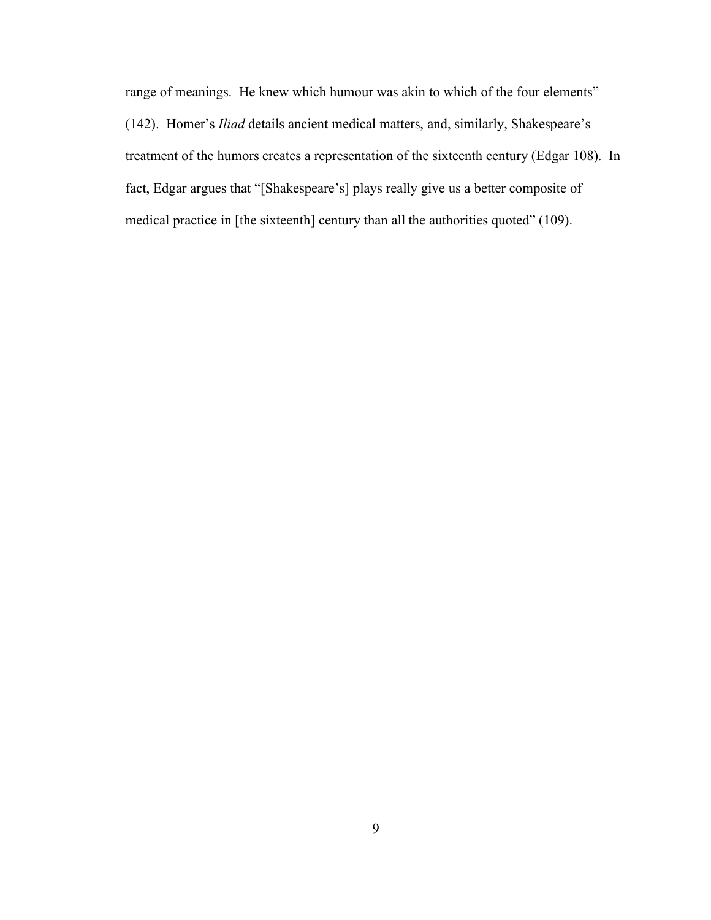range of meanings. He knew which humour was akin to which of the four elements" (142). Homer's *Iliad* details ancient medical matters, and, similarly, Shakespeare's treatment of the humors creates a representation of the sixteenth century (Edgar 108). In fact, Edgar argues that "[Shakespeare's] plays really give us a better composite of medical practice in [the sixteenth] century than all the authorities quoted" (109).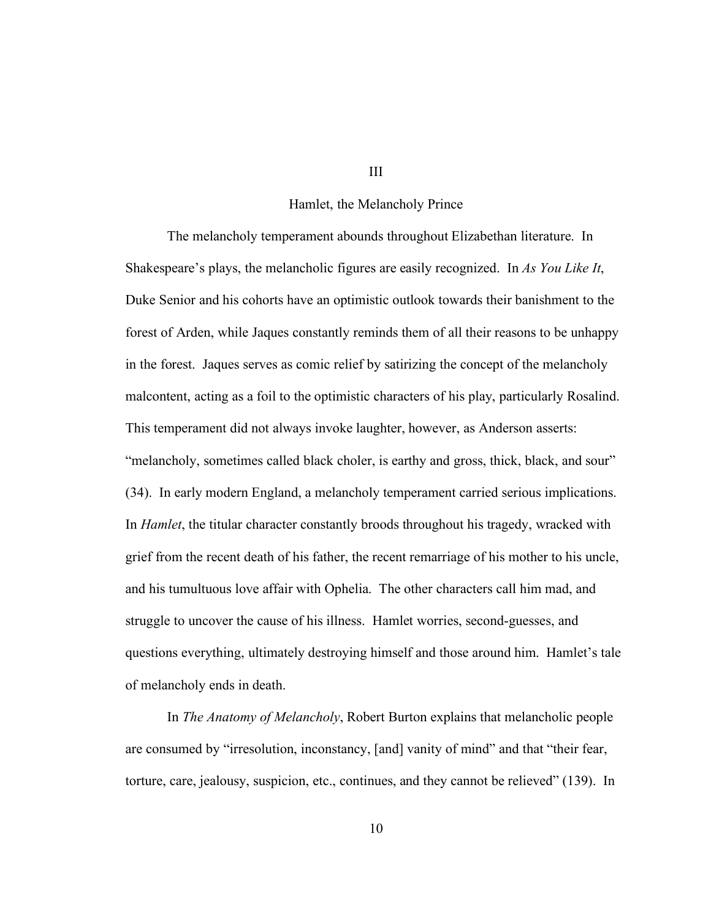#### Hamlet, the Melancholy Prince

The melancholy temperament abounds throughout Elizabethan literature. In Shakespeare's plays, the melancholic figures are easily recognized. In *As You Like It*, Duke Senior and his cohorts have an optimistic outlook towards their banishment to the forest of Arden, while Jaques constantly reminds them of all their reasons to be unhappy in the forest. Jaques serves as comic relief by satirizing the concept of the melancholy malcontent, acting as a foil to the optimistic characters of his play, particularly Rosalind. This temperament did not always invoke laughter, however, as Anderson asserts: "melancholy, sometimes called black choler, is earthy and gross, thick, black, and sour" (34). In early modern England, a melancholy temperament carried serious implications. In *Hamlet*, the titular character constantly broods throughout his tragedy, wracked with grief from the recent death of his father, the recent remarriage of his mother to his uncle, and his tumultuous love affair with Ophelia. The other characters call him mad, and struggle to uncover the cause of his illness. Hamlet worries, second-guesses, and questions everything, ultimately destroying himself and those around him. Hamlet's tale of melancholy ends in death.

In *The Anatomy of Melancholy*, Robert Burton explains that melancholic people are consumed by "irresolution, inconstancy, [and] vanity of mind" and that "their fear, torture, care, jealousy, suspicion, etc., continues, and they cannot be relieved" (139). In

III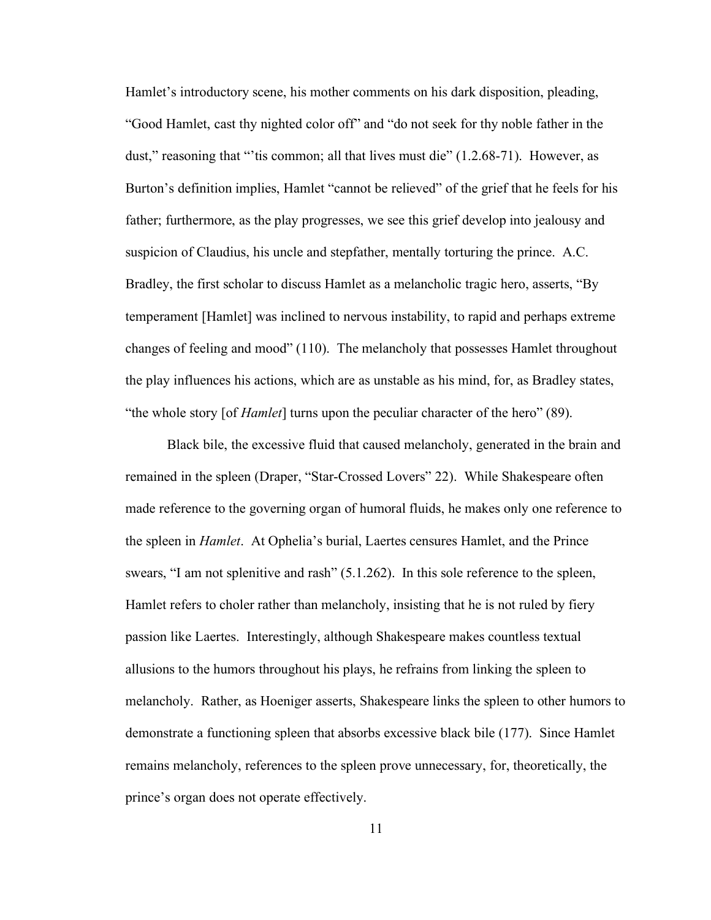Hamlet's introductory scene, his mother comments on his dark disposition, pleading, "Good Hamlet, cast thy nighted color off" and "do not seek for thy noble father in the dust," reasoning that "'tis common; all that lives must die" (1.2.68-71). However, as Burton's definition implies, Hamlet "cannot be relieved" of the grief that he feels for his father; furthermore, as the play progresses, we see this grief develop into jealousy and suspicion of Claudius, his uncle and stepfather, mentally torturing the prince. A.C. Bradley, the first scholar to discuss Hamlet as a melancholic tragic hero, asserts, "By temperament [Hamlet] was inclined to nervous instability, to rapid and perhaps extreme changes of feeling and mood" (110). The melancholy that possesses Hamlet throughout the play influences his actions, which are as unstable as his mind, for, as Bradley states, "the whole story [of *Hamlet*] turns upon the peculiar character of the hero" (89).

Black bile, the excessive fluid that caused melancholy, generated in the brain and remained in the spleen (Draper, "Star-Crossed Lovers" 22). While Shakespeare often made reference to the governing organ of humoral fluids, he makes only one reference to the spleen in *Hamlet*. At Ophelia's burial, Laertes censures Hamlet, and the Prince swears, "I am not splenitive and rash" (5.1.262). In this sole reference to the spleen, Hamlet refers to choler rather than melancholy, insisting that he is not ruled by fiery passion like Laertes. Interestingly, although Shakespeare makes countless textual allusions to the humors throughout his plays, he refrains from linking the spleen to melancholy. Rather, as Hoeniger asserts, Shakespeare links the spleen to other humors to demonstrate a functioning spleen that absorbs excessive black bile (177). Since Hamlet remains melancholy, references to the spleen prove unnecessary, for, theoretically, the prince's organ does not operate effectively.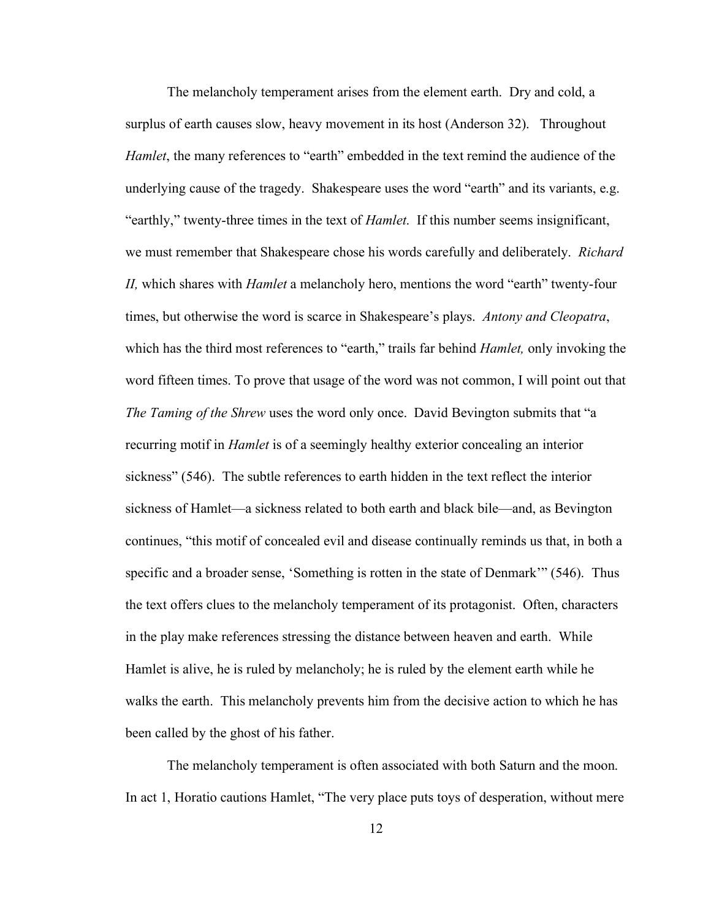The melancholy temperament arises from the element earth. Dry and cold, a surplus of earth causes slow, heavy movement in its host (Anderson 32). Throughout *Hamlet*, the many references to "earth" embedded in the text remind the audience of the underlying cause of the tragedy. Shakespeare uses the word "earth" and its variants, e.g. "earthly," twenty-three times in the text of *Hamlet*. If this number seems insignificant, we must remember that Shakespeare chose his words carefully and deliberately. *Richard II,* which shares with *Hamlet* a melancholy hero, mentions the word "earth" twenty-four times, but otherwise the word is scarce in Shakespeare's plays. *Antony and Cleopatra*, which has the third most references to "earth," trails far behind *Hamlet,* only invoking the word fifteen times. To prove that usage of the word was not common, I will point out that *The Taming of the Shrew* uses the word only once. David Bevington submits that "a recurring motif in *Hamlet* is of a seemingly healthy exterior concealing an interior sickness" (546). The subtle references to earth hidden in the text reflect the interior sickness of Hamlet—a sickness related to both earth and black bile—and, as Bevington continues, "this motif of concealed evil and disease continually reminds us that, in both a specific and a broader sense, 'Something is rotten in the state of Denmark'" (546). Thus the text offers clues to the melancholy temperament of its protagonist. Often, characters in the play make references stressing the distance between heaven and earth. While Hamlet is alive, he is ruled by melancholy; he is ruled by the element earth while he walks the earth. This melancholy prevents him from the decisive action to which he has been called by the ghost of his father.

The melancholy temperament is often associated with both Saturn and the moon. In act 1, Horatio cautions Hamlet, "The very place puts toys of desperation, without mere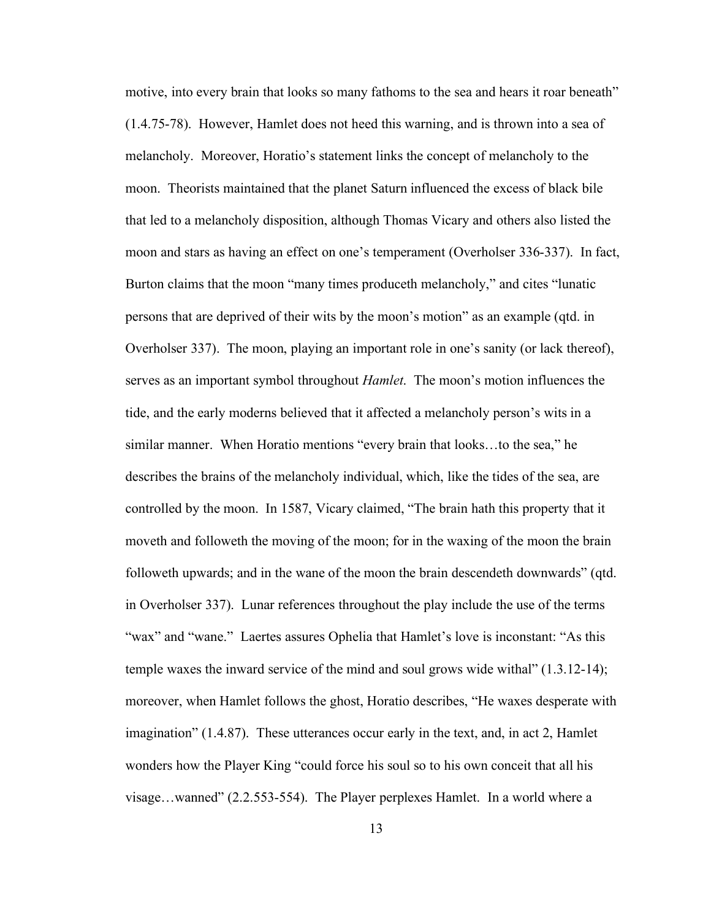motive, into every brain that looks so many fathoms to the sea and hears it roar beneath" (1.4.75-78). However, Hamlet does not heed this warning, and is thrown into a sea of melancholy. Moreover, Horatio's statement links the concept of melancholy to the moon. Theorists maintained that the planet Saturn influenced the excess of black bile that led to a melancholy disposition, although Thomas Vicary and others also listed the moon and stars as having an effect on one's temperament (Overholser 336-337). In fact, Burton claims that the moon "many times produceth melancholy," and cites "lunatic persons that are deprived of their wits by the moon's motion" as an example (qtd. in Overholser 337). The moon, playing an important role in one's sanity (or lack thereof), serves as an important symbol throughout *Hamlet*. The moon's motion influences the tide, and the early moderns believed that it affected a melancholy person's wits in a similar manner. When Horatio mentions "every brain that looks…to the sea," he describes the brains of the melancholy individual, which, like the tides of the sea, are controlled by the moon. In 1587, Vicary claimed, "The brain hath this property that it moveth and followeth the moving of the moon; for in the waxing of the moon the brain followeth upwards; and in the wane of the moon the brain descendeth downwards" (qtd. in Overholser 337). Lunar references throughout the play include the use of the terms "wax" and "wane." Laertes assures Ophelia that Hamlet's love is inconstant: "As this temple waxes the inward service of the mind and soul grows wide withal" (1.3.12-14); moreover, when Hamlet follows the ghost, Horatio describes, "He waxes desperate with imagination" (1.4.87). These utterances occur early in the text, and, in act 2, Hamlet wonders how the Player King "could force his soul so to his own conceit that all his visage…wanned" (2.2.553-554). The Player perplexes Hamlet. In a world where a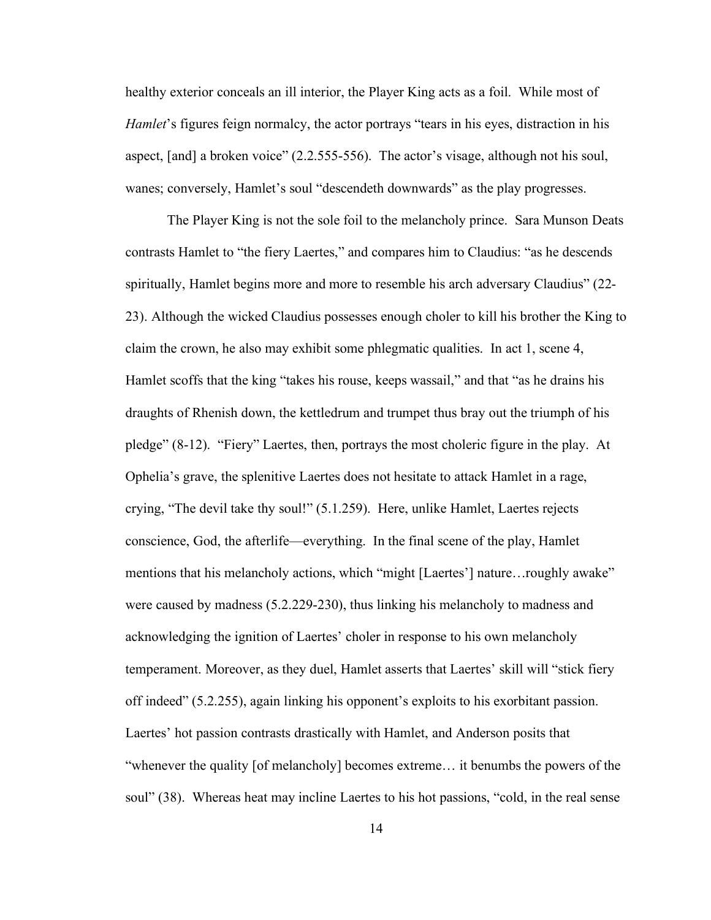healthy exterior conceals an ill interior, the Player King acts as a foil. While most of *Hamlet*'s figures feign normalcy, the actor portrays "tears in his eyes, distraction in his aspect, [and] a broken voice" (2.2.555-556). The actor's visage, although not his soul, wanes; conversely, Hamlet's soul "descendeth downwards" as the play progresses.

The Player King is not the sole foil to the melancholy prince. Sara Munson Deats contrasts Hamlet to "the fiery Laertes," and compares him to Claudius: "as he descends spiritually, Hamlet begins more and more to resemble his arch adversary Claudius" (22- 23). Although the wicked Claudius possesses enough choler to kill his brother the King to claim the crown, he also may exhibit some phlegmatic qualities. In act 1, scene 4, Hamlet scoffs that the king "takes his rouse, keeps wassail," and that "as he drains his draughts of Rhenish down, the kettledrum and trumpet thus bray out the triumph of his pledge" (8-12). "Fiery" Laertes, then, portrays the most choleric figure in the play. At Ophelia's grave, the splenitive Laertes does not hesitate to attack Hamlet in a rage, crying, "The devil take thy soul!" (5.1.259). Here, unlike Hamlet, Laertes rejects conscience, God, the afterlife—everything. In the final scene of the play, Hamlet mentions that his melancholy actions, which "might [Laertes'] nature…roughly awake" were caused by madness (5.2.229-230), thus linking his melancholy to madness and acknowledging the ignition of Laertes' choler in response to his own melancholy temperament. Moreover, as they duel, Hamlet asserts that Laertes' skill will "stick fiery off indeed" (5.2.255), again linking his opponent's exploits to his exorbitant passion. Laertes' hot passion contrasts drastically with Hamlet, and Anderson posits that "whenever the quality [of melancholy] becomes extreme… it benumbs the powers of the soul" (38). Whereas heat may incline Laertes to his hot passions, "cold, in the real sense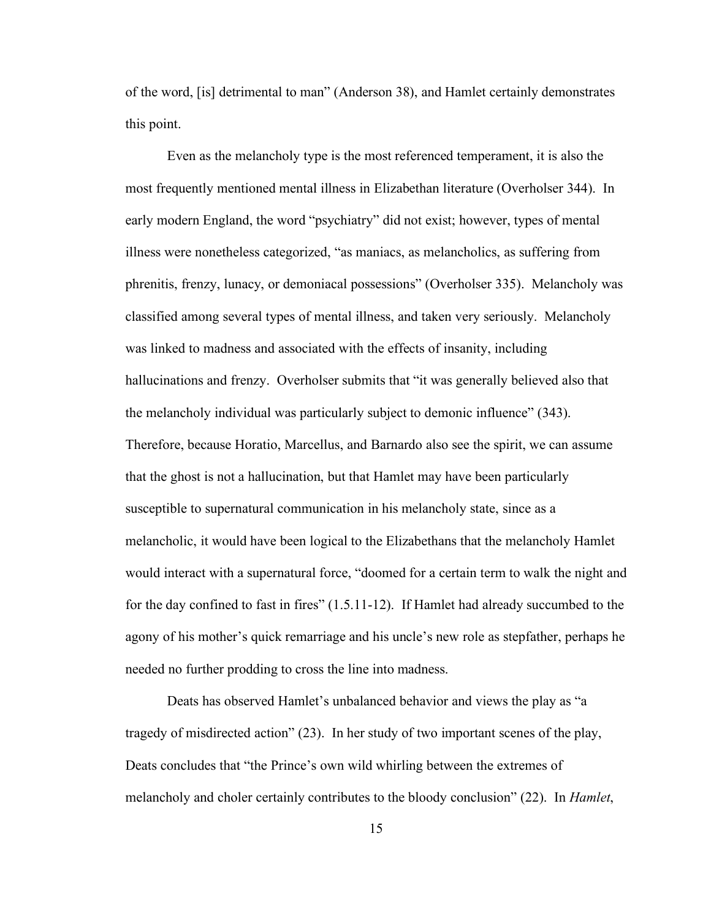of the word, [is] detrimental to man" (Anderson 38), and Hamlet certainly demonstrates this point.

Even as the melancholy type is the most referenced temperament, it is also the most frequently mentioned mental illness in Elizabethan literature (Overholser 344). In early modern England, the word "psychiatry" did not exist; however, types of mental illness were nonetheless categorized, "as maniacs, as melancholics, as suffering from phrenitis, frenzy, lunacy, or demoniacal possessions" (Overholser 335). Melancholy was classified among several types of mental illness, and taken very seriously. Melancholy was linked to madness and associated with the effects of insanity, including hallucinations and frenzy. Overholser submits that "it was generally believed also that the melancholy individual was particularly subject to demonic influence" (343). Therefore, because Horatio, Marcellus, and Barnardo also see the spirit, we can assume that the ghost is not a hallucination, but that Hamlet may have been particularly susceptible to supernatural communication in his melancholy state, since as a melancholic, it would have been logical to the Elizabethans that the melancholy Hamlet would interact with a supernatural force, "doomed for a certain term to walk the night and for the day confined to fast in fires" (1.5.11-12). If Hamlet had already succumbed to the agony of his mother's quick remarriage and his uncle's new role as stepfather, perhaps he needed no further prodding to cross the line into madness.

Deats has observed Hamlet's unbalanced behavior and views the play as "a tragedy of misdirected action" (23). In her study of two important scenes of the play, Deats concludes that "the Prince's own wild whirling between the extremes of melancholy and choler certainly contributes to the bloody conclusion" (22). In *Hamlet*,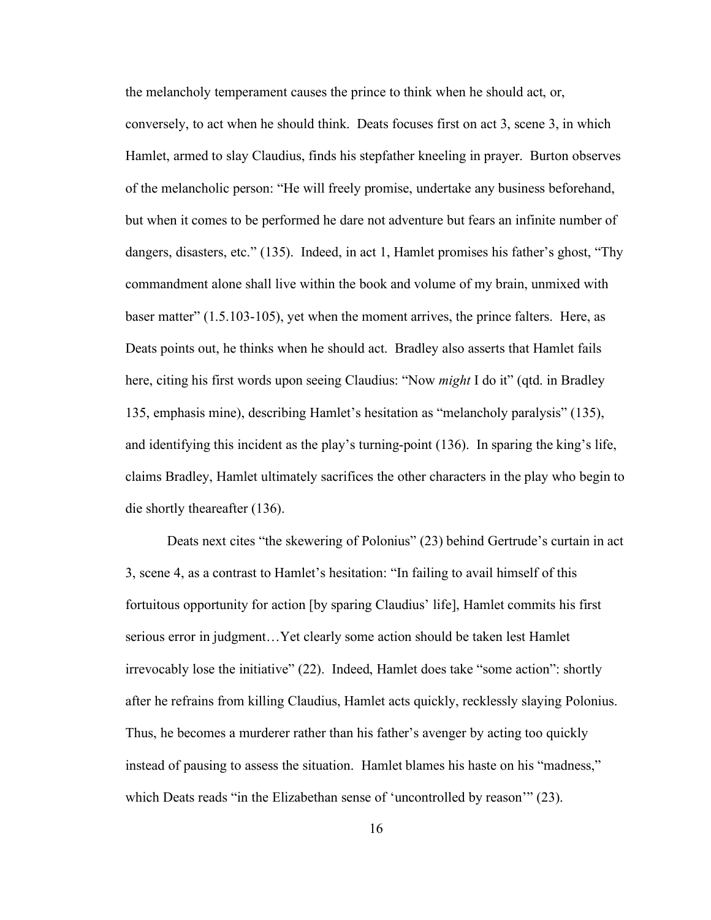the melancholy temperament causes the prince to think when he should act, or, conversely, to act when he should think. Deats focuses first on act 3, scene 3, in which Hamlet, armed to slay Claudius, finds his stepfather kneeling in prayer. Burton observes of the melancholic person: "He will freely promise, undertake any business beforehand, but when it comes to be performed he dare not adventure but fears an infinite number of dangers, disasters, etc." (135). Indeed, in act 1, Hamlet promises his father's ghost, "Thy commandment alone shall live within the book and volume of my brain, unmixed with baser matter" (1.5.103-105), yet when the moment arrives, the prince falters. Here, as Deats points out, he thinks when he should act. Bradley also asserts that Hamlet fails here, citing his first words upon seeing Claudius: "Now *might* I do it" (qtd. in Bradley 135, emphasis mine), describing Hamlet's hesitation as "melancholy paralysis" (135), and identifying this incident as the play's turning-point (136). In sparing the king's life, claims Bradley, Hamlet ultimately sacrifices the other characters in the play who begin to die shortly theareafter (136).

Deats next cites "the skewering of Polonius" (23) behind Gertrude's curtain in act 3, scene 4, as a contrast to Hamlet's hesitation: "In failing to avail himself of this fortuitous opportunity for action [by sparing Claudius' life], Hamlet commits his first serious error in judgment…Yet clearly some action should be taken lest Hamlet irrevocably lose the initiative" (22). Indeed, Hamlet does take "some action": shortly after he refrains from killing Claudius, Hamlet acts quickly, recklessly slaying Polonius. Thus, he becomes a murderer rather than his father's avenger by acting too quickly instead of pausing to assess the situation. Hamlet blames his haste on his "madness," which Deats reads "in the Elizabethan sense of 'uncontrolled by reason'" (23).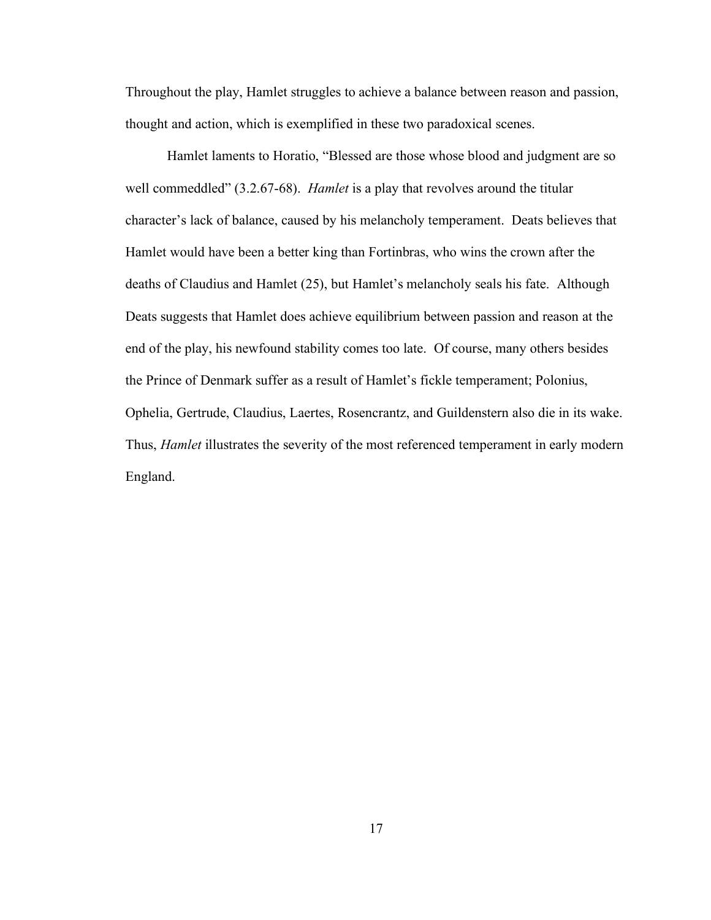Throughout the play, Hamlet struggles to achieve a balance between reason and passion, thought and action, which is exemplified in these two paradoxical scenes.

Hamlet laments to Horatio, "Blessed are those whose blood and judgment are so well commeddled" (3.2.67-68). *Hamlet* is a play that revolves around the titular character's lack of balance, caused by his melancholy temperament. Deats believes that Hamlet would have been a better king than Fortinbras, who wins the crown after the deaths of Claudius and Hamlet (25), but Hamlet's melancholy seals his fate. Although Deats suggests that Hamlet does achieve equilibrium between passion and reason at the end of the play, his newfound stability comes too late. Of course, many others besides the Prince of Denmark suffer as a result of Hamlet's fickle temperament; Polonius, Ophelia, Gertrude, Claudius, Laertes, Rosencrantz, and Guildenstern also die in its wake. Thus, *Hamlet* illustrates the severity of the most referenced temperament in early modern England.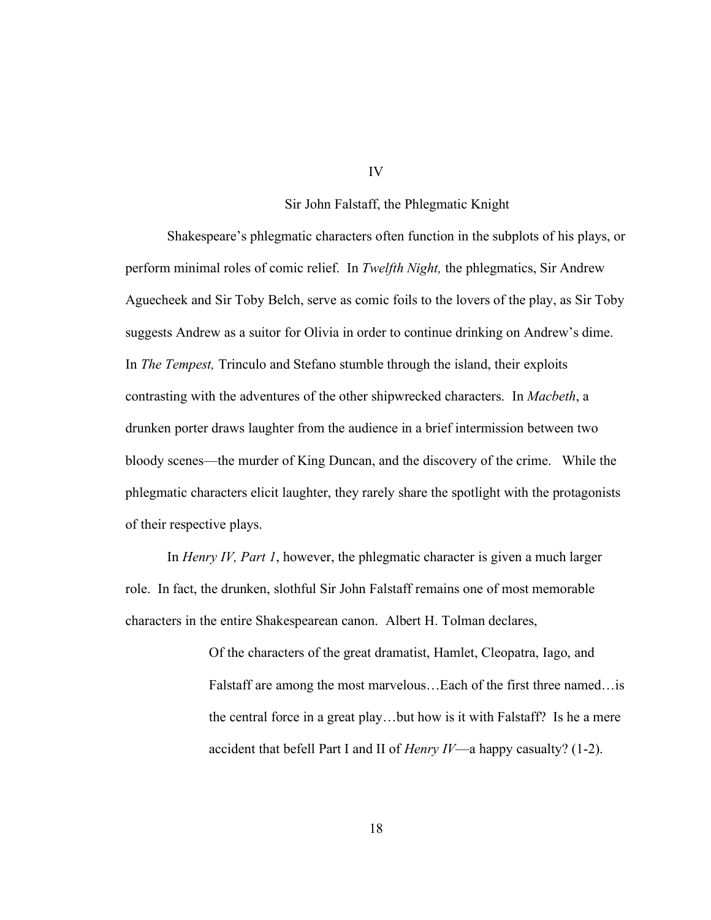#### Sir John Falstaff, the Phlegmatic Knight

Shakespeare's phlegmatic characters often function in the subplots of his plays, or perform minimal roles of comic relief. In *Twelfth Night,* the phlegmatics, Sir Andrew Aguecheek and Sir Toby Belch, serve as comic foils to the lovers of the play, as Sir Toby suggests Andrew as a suitor for Olivia in order to continue drinking on Andrew's dime. In *The Tempest,* Trinculo and Stefano stumble through the island, their exploits contrasting with the adventures of the other shipwrecked characters. In *Macbeth*, a drunken porter draws laughter from the audience in a brief intermission between two bloody scenes—the murder of King Duncan, and the discovery of the crime. While the phlegmatic characters elicit laughter, they rarely share the spotlight with the protagonists of their respective plays.

In *Henry IV, Part 1*, however, the phlegmatic character is given a much larger role. In fact, the drunken, slothful Sir John Falstaff remains one of most memorable characters in the entire Shakespearean canon. Albert H. Tolman declares,

> Of the characters of the great dramatist, Hamlet, Cleopatra, Iago, and Falstaff are among the most marvelous…Each of the first three named…is the central force in a great play…but how is it with Falstaff? Is he a mere accident that befell Part I and II of *Henry IV*—a happy casualty? (1-2).

IV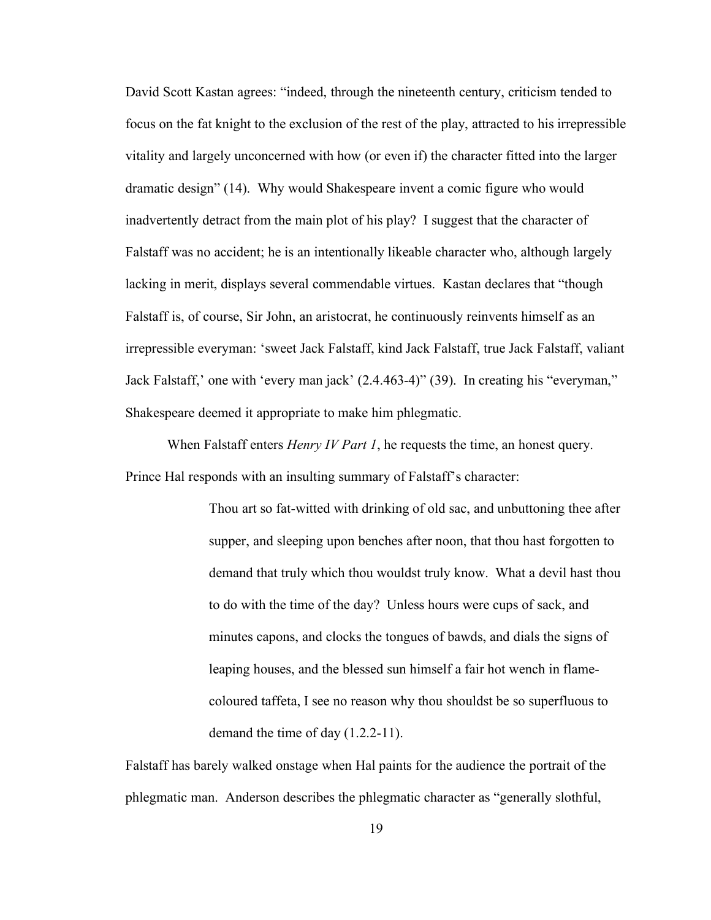David Scott Kastan agrees: "indeed, through the nineteenth century, criticism tended to focus on the fat knight to the exclusion of the rest of the play, attracted to his irrepressible vitality and largely unconcerned with how (or even if) the character fitted into the larger dramatic design" (14). Why would Shakespeare invent a comic figure who would inadvertently detract from the main plot of his play? I suggest that the character of Falstaff was no accident; he is an intentionally likeable character who, although largely lacking in merit, displays several commendable virtues. Kastan declares that "though Falstaff is, of course, Sir John, an aristocrat, he continuously reinvents himself as an irrepressible everyman: 'sweet Jack Falstaff, kind Jack Falstaff, true Jack Falstaff, valiant Jack Falstaff,' one with 'every man jack' (2.4.463-4)" (39). In creating his "everyman," Shakespeare deemed it appropriate to make him phlegmatic.

When Falstaff enters *Henry IV Part 1*, he requests the time, an honest query. Prince Hal responds with an insulting summary of Falstaff's character:

> Thou art so fat-witted with drinking of old sac, and unbuttoning thee after supper, and sleeping upon benches after noon, that thou hast forgotten to demand that truly which thou wouldst truly know. What a devil hast thou to do with the time of the day? Unless hours were cups of sack, and minutes capons, and clocks the tongues of bawds, and dials the signs of leaping houses, and the blessed sun himself a fair hot wench in flamecoloured taffeta, I see no reason why thou shouldst be so superfluous to demand the time of day (1.2.2-11).

Falstaff has barely walked onstage when Hal paints for the audience the portrait of the phlegmatic man. Anderson describes the phlegmatic character as "generally slothful,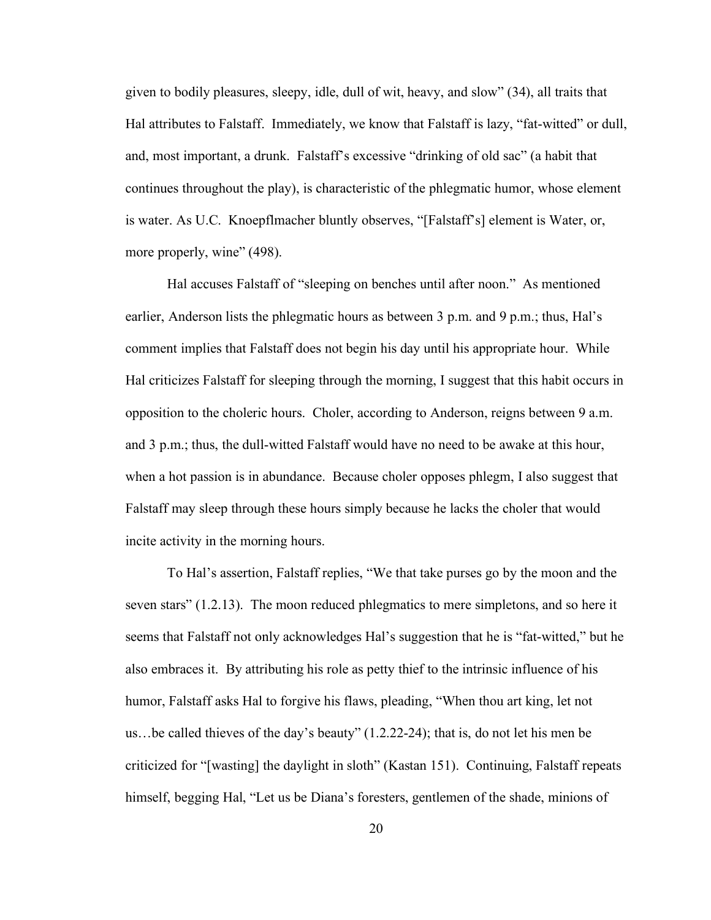given to bodily pleasures, sleepy, idle, dull of wit, heavy, and slow" (34), all traits that Hal attributes to Falstaff. Immediately, we know that Falstaff is lazy, "fat-witted" or dull, and, most important, a drunk. Falstaff's excessive "drinking of old sac" (a habit that continues throughout the play), is characteristic of the phlegmatic humor, whose element is water. As U.C. Knoepflmacher bluntly observes, "[Falstaff's] element is Water, or, more properly, wine" (498).

Hal accuses Falstaff of "sleeping on benches until after noon." As mentioned earlier, Anderson lists the phlegmatic hours as between 3 p.m. and 9 p.m.; thus, Hal's comment implies that Falstaff does not begin his day until his appropriate hour. While Hal criticizes Falstaff for sleeping through the morning, I suggest that this habit occurs in opposition to the choleric hours. Choler, according to Anderson, reigns between 9 a.m. and 3 p.m.; thus, the dull-witted Falstaff would have no need to be awake at this hour, when a hot passion is in abundance. Because choler opposes phlegm, I also suggest that Falstaff may sleep through these hours simply because he lacks the choler that would incite activity in the morning hours.

To Hal's assertion, Falstaff replies, "We that take purses go by the moon and the seven stars" (1.2.13). The moon reduced phlegmatics to mere simpletons, and so here it seems that Falstaff not only acknowledges Hal's suggestion that he is "fat-witted," but he also embraces it. By attributing his role as petty thief to the intrinsic influence of his humor, Falstaff asks Hal to forgive his flaws, pleading, "When thou art king, let not us…be called thieves of the day's beauty" (1.2.22-24); that is, do not let his men be criticized for "[wasting] the daylight in sloth" (Kastan 151). Continuing, Falstaff repeats himself, begging Hal, "Let us be Diana's foresters, gentlemen of the shade, minions of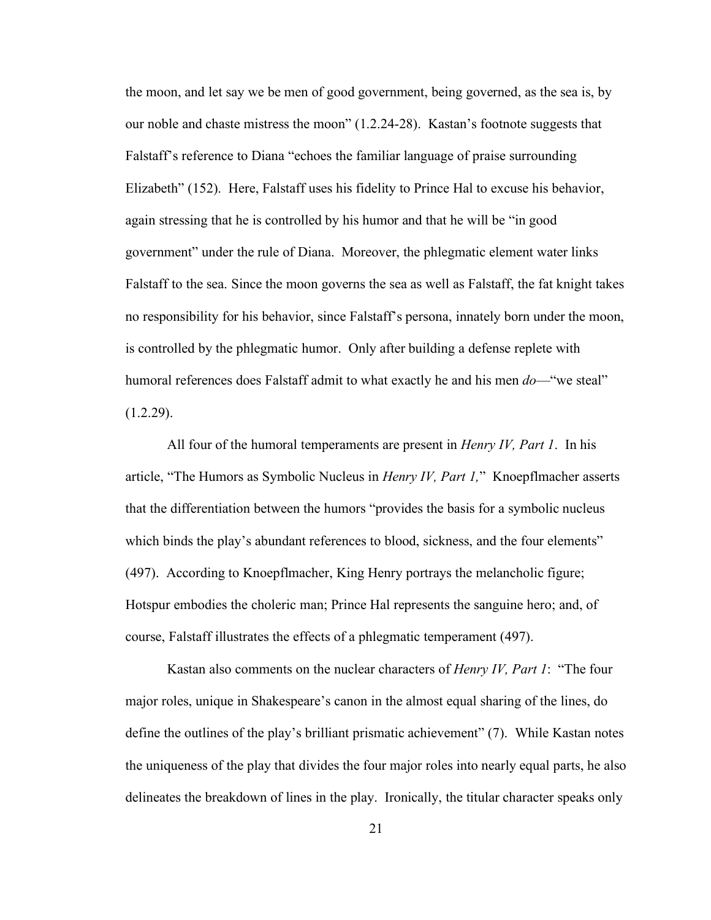the moon, and let say we be men of good government, being governed, as the sea is, by our noble and chaste mistress the moon" (1.2.24-28). Kastan's footnote suggests that Falstaff's reference to Diana "echoes the familiar language of praise surrounding Elizabeth" (152). Here, Falstaff uses his fidelity to Prince Hal to excuse his behavior, again stressing that he is controlled by his humor and that he will be "in good government" under the rule of Diana. Moreover, the phlegmatic element water links Falstaff to the sea. Since the moon governs the sea as well as Falstaff, the fat knight takes no responsibility for his behavior, since Falstaff's persona, innately born under the moon, is controlled by the phlegmatic humor. Only after building a defense replete with humoral references does Falstaff admit to what exactly he and his men *do*—"we steal"  $(1.2.29)$ .

All four of the humoral temperaments are present in *Henry IV, Part 1*. In his article, "The Humors as Symbolic Nucleus in *Henry IV, Part 1,*" Knoepflmacher asserts that the differentiation between the humors "provides the basis for a symbolic nucleus which binds the play's abundant references to blood, sickness, and the four elements" (497). According to Knoepflmacher, King Henry portrays the melancholic figure; Hotspur embodies the choleric man; Prince Hal represents the sanguine hero; and, of course, Falstaff illustrates the effects of a phlegmatic temperament (497).

Kastan also comments on the nuclear characters of *Henry IV, Part 1*: "The four major roles, unique in Shakespeare's canon in the almost equal sharing of the lines, do define the outlines of the play's brilliant prismatic achievement" (7). While Kastan notes the uniqueness of the play that divides the four major roles into nearly equal parts, he also delineates the breakdown of lines in the play. Ironically, the titular character speaks only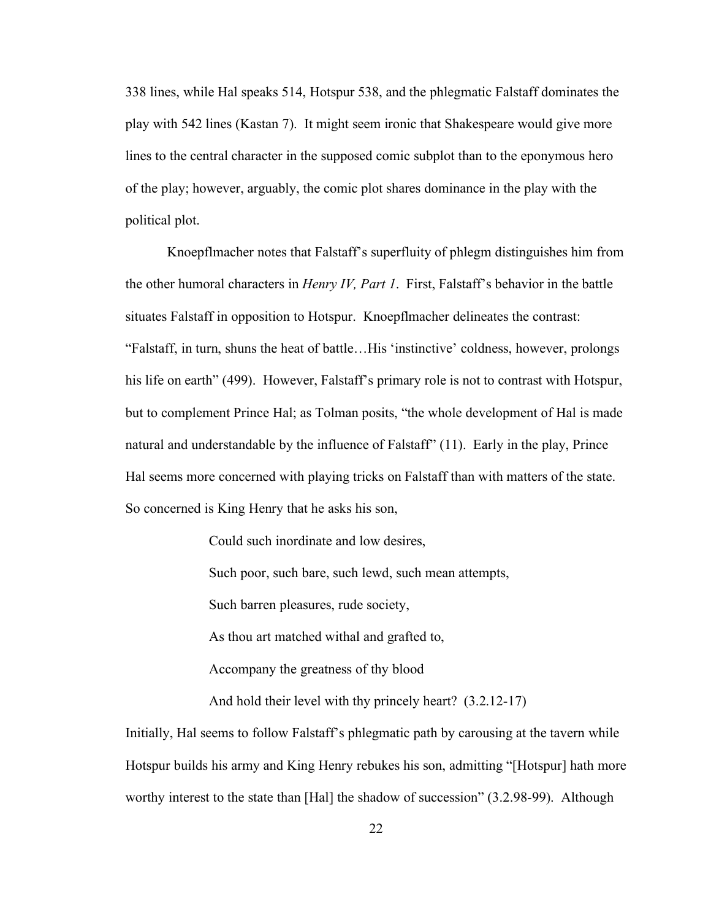338 lines, while Hal speaks 514, Hotspur 538, and the phlegmatic Falstaff dominates the play with 542 lines (Kastan 7). It might seem ironic that Shakespeare would give more lines to the central character in the supposed comic subplot than to the eponymous hero of the play; however, arguably, the comic plot shares dominance in the play with the political plot.

Knoepflmacher notes that Falstaff's superfluity of phlegm distinguishes him from the other humoral characters in *Henry IV, Part 1*. First, Falstaff's behavior in the battle situates Falstaff in opposition to Hotspur. Knoepflmacher delineates the contrast: "Falstaff, in turn, shuns the heat of battle…His 'instinctive' coldness, however, prolongs his life on earth" (499). However, Falstaff's primary role is not to contrast with Hotspur, but to complement Prince Hal; as Tolman posits, "the whole development of Hal is made natural and understandable by the influence of Falstaff" (11). Early in the play, Prince Hal seems more concerned with playing tricks on Falstaff than with matters of the state. So concerned is King Henry that he asks his son,

Could such inordinate and low desires,

Such poor, such bare, such lewd, such mean attempts,

Such barren pleasures, rude society,

As thou art matched withal and grafted to,

Accompany the greatness of thy blood

And hold their level with thy princely heart? (3.2.12-17)

Initially, Hal seems to follow Falstaff's phlegmatic path by carousing at the tavern while Hotspur builds his army and King Henry rebukes his son, admitting "[Hotspur] hath more worthy interest to the state than [Hal] the shadow of succession" (3.2.98-99). Although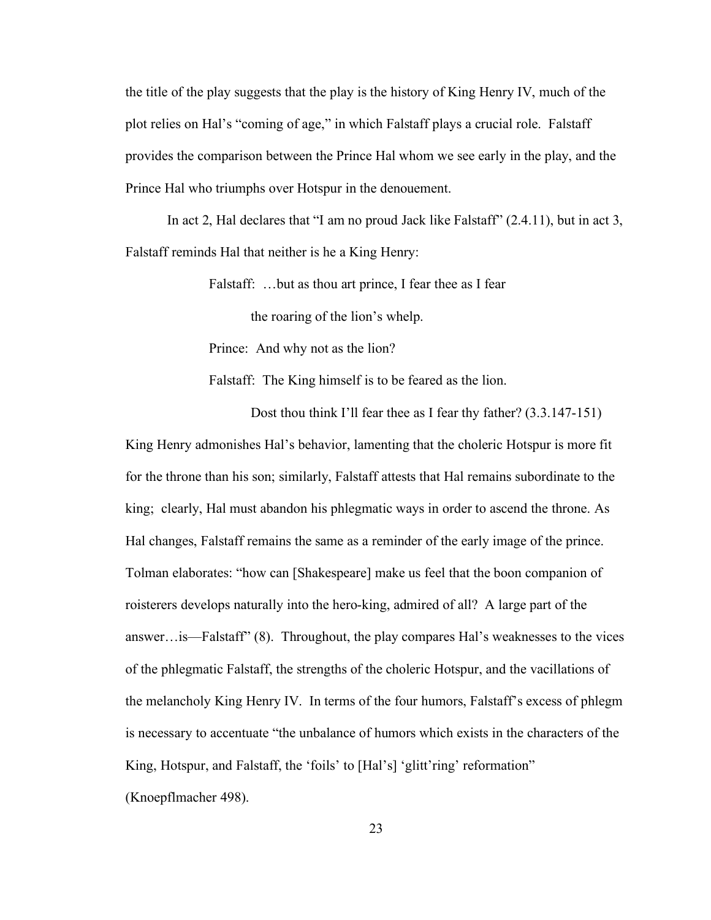the title of the play suggests that the play is the history of King Henry IV, much of the plot relies on Hal's "coming of age," in which Falstaff plays a crucial role. Falstaff provides the comparison between the Prince Hal whom we see early in the play, and the Prince Hal who triumphs over Hotspur in the denouement.

In act 2, Hal declares that "I am no proud Jack like Falstaff" (2.4.11), but in act 3, Falstaff reminds Hal that neither is he a King Henry:

Falstaff: ...but as thou art prince, I fear thee as I fear

the roaring of the lion's whelp.

Prince: And why not as the lion?

Falstaff: The King himself is to be feared as the lion.

Dost thou think I'll fear thee as I fear thy father? (3.3.147-151) King Henry admonishes Hal's behavior, lamenting that the choleric Hotspur is more fit for the throne than his son; similarly, Falstaff attests that Hal remains subordinate to the king; clearly, Hal must abandon his phlegmatic ways in order to ascend the throne. As Hal changes, Falstaff remains the same as a reminder of the early image of the prince. Tolman elaborates: "how can [Shakespeare] make us feel that the boon companion of roisterers develops naturally into the hero-king, admired of all? A large part of the answer…is—Falstaff" (8). Throughout, the play compares Hal's weaknesses to the vices of the phlegmatic Falstaff, the strengths of the choleric Hotspur, and the vacillations of the melancholy King Henry IV. In terms of the four humors, Falstaff's excess of phlegm is necessary to accentuate "the unbalance of humors which exists in the characters of the King, Hotspur, and Falstaff, the 'foils' to [Hal's] 'glitt'ring' reformation" (Knoepflmacher 498).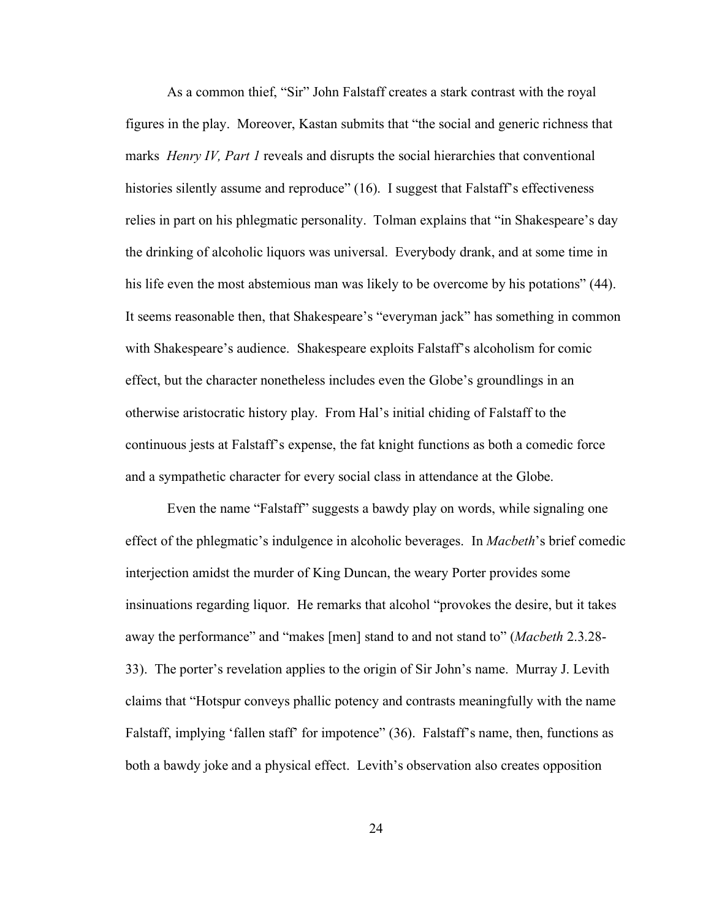As a common thief, "Sir" John Falstaff creates a stark contrast with the royal figures in the play. Moreover, Kastan submits that "the social and generic richness that marks *Henry IV, Part 1* reveals and disrupts the social hierarchies that conventional histories silently assume and reproduce" (16). I suggest that Falstaff's effectiveness relies in part on his phlegmatic personality. Tolman explains that "in Shakespeare's day the drinking of alcoholic liquors was universal. Everybody drank, and at some time in his life even the most abstemious man was likely to be overcome by his potations" (44). It seems reasonable then, that Shakespeare's "everyman jack" has something in common with Shakespeare's audience. Shakespeare exploits Falstaff's alcoholism for comic effect, but the character nonetheless includes even the Globe's groundlings in an otherwise aristocratic history play. From Hal's initial chiding of Falstaff to the continuous jests at Falstaff's expense, the fat knight functions as both a comedic force and a sympathetic character for every social class in attendance at the Globe.

Even the name "Falstaff" suggests a bawdy play on words, while signaling one effect of the phlegmatic's indulgence in alcoholic beverages. In *Macbeth*'s brief comedic interjection amidst the murder of King Duncan, the weary Porter provides some insinuations regarding liquor. He remarks that alcohol "provokes the desire, but it takes away the performance" and "makes [men] stand to and not stand to" (*Macbeth* 2.3.28- 33). The porter's revelation applies to the origin of Sir John's name. Murray J. Levith claims that "Hotspur conveys phallic potency and contrasts meaningfully with the name Falstaff, implying 'fallen staff' for impotence" (36). Falstaff's name, then, functions as both a bawdy joke and a physical effect. Levith's observation also creates opposition

24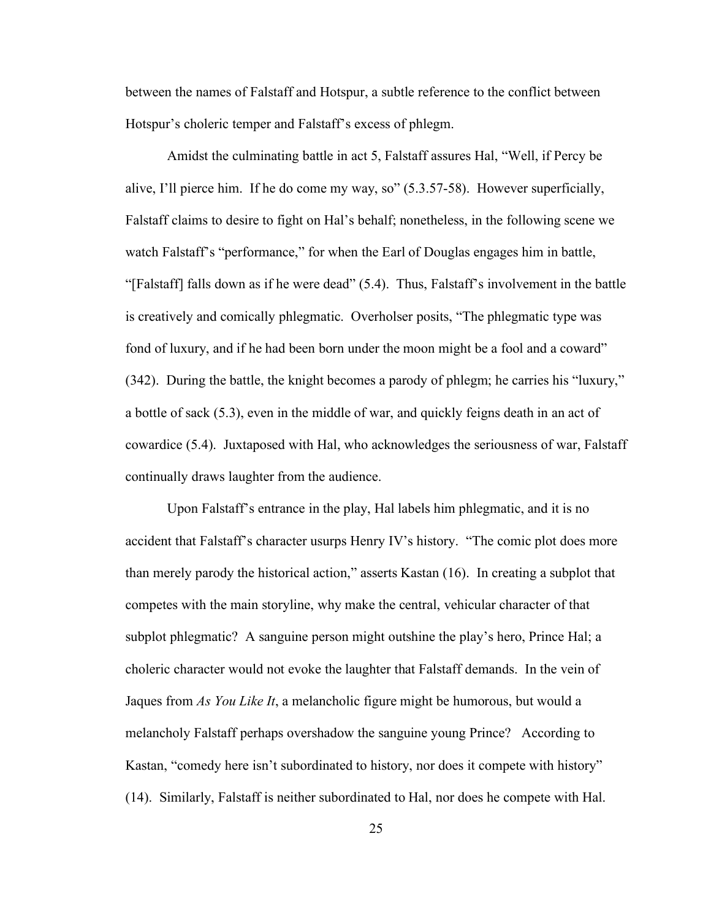between the names of Falstaff and Hotspur, a subtle reference to the conflict between Hotspur's choleric temper and Falstaff's excess of phlegm.

Amidst the culminating battle in act 5, Falstaff assures Hal, "Well, if Percy be alive, I'll pierce him. If he do come my way, so" (5.3.57-58). However superficially, Falstaff claims to desire to fight on Hal's behalf; nonetheless, in the following scene we watch Falstaff's "performance," for when the Earl of Douglas engages him in battle, "[Falstaff] falls down as if he were dead" (5.4). Thus, Falstaff's involvement in the battle is creatively and comically phlegmatic. Overholser posits, "The phlegmatic type was fond of luxury, and if he had been born under the moon might be a fool and a coward" (342). During the battle, the knight becomes a parody of phlegm; he carries his "luxury," a bottle of sack (5.3), even in the middle of war, and quickly feigns death in an act of cowardice (5.4). Juxtaposed with Hal, who acknowledges the seriousness of war, Falstaff continually draws laughter from the audience.

Upon Falstaff's entrance in the play, Hal labels him phlegmatic, and it is no accident that Falstaff's character usurps Henry IV's history. "The comic plot does more than merely parody the historical action," asserts Kastan (16). In creating a subplot that competes with the main storyline, why make the central, vehicular character of that subplot phlegmatic? A sanguine person might outshine the play's hero, Prince Hal; a choleric character would not evoke the laughter that Falstaff demands. In the vein of Jaques from *As You Like It*, a melancholic figure might be humorous, but would a melancholy Falstaff perhaps overshadow the sanguine young Prince? According to Kastan, "comedy here isn't subordinated to history, nor does it compete with history" (14). Similarly, Falstaff is neither subordinated to Hal, nor does he compete with Hal.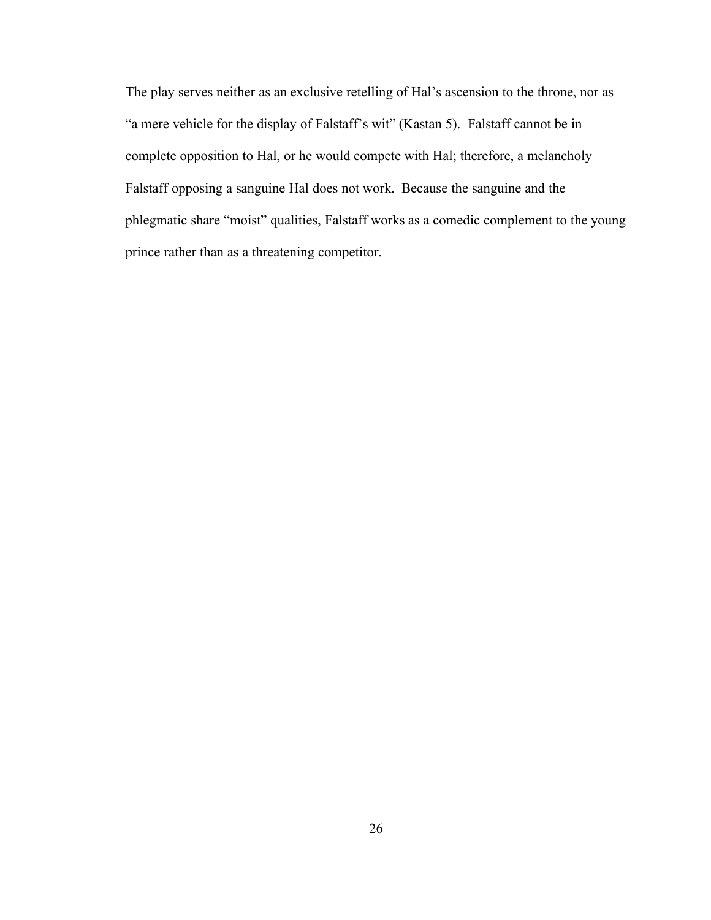The play serves neither as an exclusive retelling of Hal's ascension to the throne, nor as "a mere vehicle for the display of Falstaff's wit" (Kastan 5). Falstaff cannot be in complete opposition to Hal, or he would compete with Hal; therefore, a melancholy Falstaff opposing a sanguine Hal does not work. Because the sanguine and the phlegmatic share "moist" qualities, Falstaff works as a comedic complement to the young prince rather than as a threatening competitor.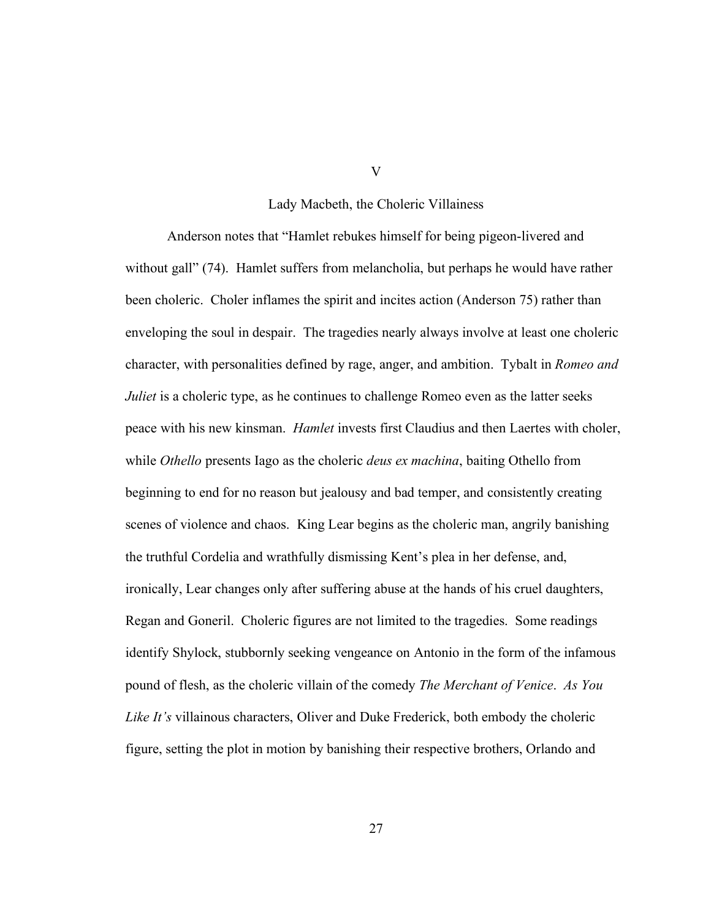#### Lady Macbeth, the Choleric Villainess

Anderson notes that "Hamlet rebukes himself for being pigeon-livered and without gall" (74). Hamlet suffers from melancholia, but perhaps he would have rather been choleric. Choler inflames the spirit and incites action (Anderson 75) rather than enveloping the soul in despair. The tragedies nearly always involve at least one choleric character, with personalities defined by rage, anger, and ambition. Tybalt in *Romeo and Juliet* is a choleric type, as he continues to challenge Romeo even as the latter seeks peace with his new kinsman. *Hamlet* invests first Claudius and then Laertes with choler, while *Othello* presents Iago as the choleric *deus ex machina*, baiting Othello from beginning to end for no reason but jealousy and bad temper, and consistently creating scenes of violence and chaos. King Lear begins as the choleric man, angrily banishing the truthful Cordelia and wrathfully dismissing Kent's plea in her defense, and, ironically, Lear changes only after suffering abuse at the hands of his cruel daughters, Regan and Goneril. Choleric figures are not limited to the tragedies. Some readings identify Shylock, stubbornly seeking vengeance on Antonio in the form of the infamous pound of flesh, as the choleric villain of the comedy *The Merchant of Venice*. *As You Like It's* villainous characters, Oliver and Duke Frederick, both embody the choleric figure, setting the plot in motion by banishing their respective brothers, Orlando and

V

27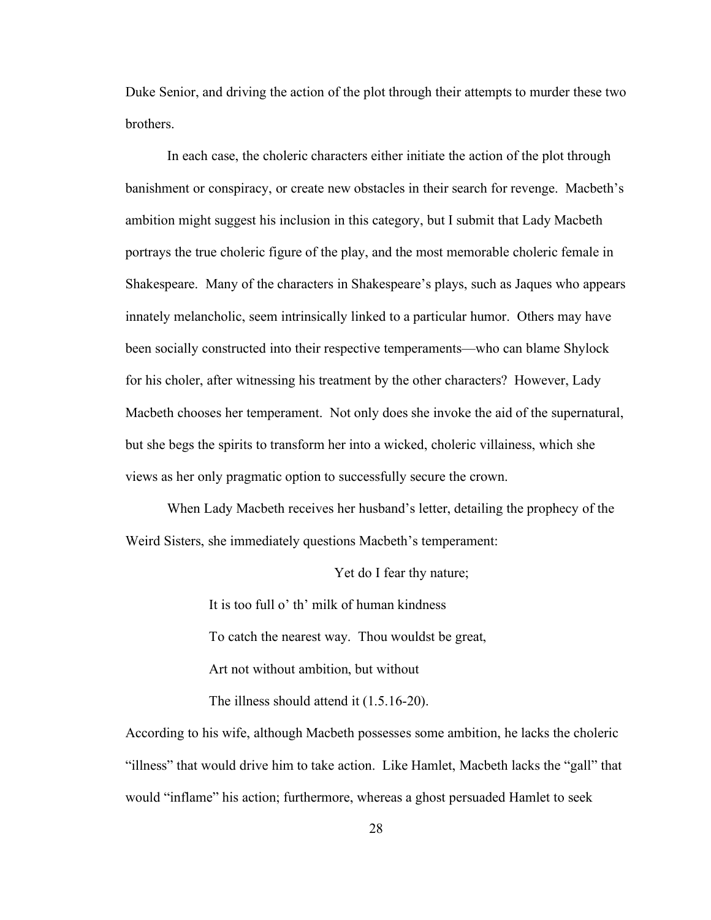Duke Senior, and driving the action of the plot through their attempts to murder these two brothers.

In each case, the choleric characters either initiate the action of the plot through banishment or conspiracy, or create new obstacles in their search for revenge. Macbeth's ambition might suggest his inclusion in this category, but I submit that Lady Macbeth portrays the true choleric figure of the play, and the most memorable choleric female in Shakespeare. Many of the characters in Shakespeare's plays, such as Jaques who appears innately melancholic, seem intrinsically linked to a particular humor. Others may have been socially constructed into their respective temperaments—who can blame Shylock for his choler, after witnessing his treatment by the other characters? However, Lady Macbeth chooses her temperament. Not only does she invoke the aid of the supernatural, but she begs the spirits to transform her into a wicked, choleric villainess, which she views as her only pragmatic option to successfully secure the crown.

When Lady Macbeth receives her husband's letter, detailing the prophecy of the Weird Sisters, she immediately questions Macbeth's temperament:

Yet do I fear thy nature;

It is too full o' th' milk of human kindness To catch the nearest way. Thou wouldst be great, Art not without ambition, but without The illness should attend it (1.5.16-20).

According to his wife, although Macbeth possesses some ambition, he lacks the choleric "illness" that would drive him to take action. Like Hamlet, Macbeth lacks the "gall" that would "inflame" his action; furthermore, whereas a ghost persuaded Hamlet to seek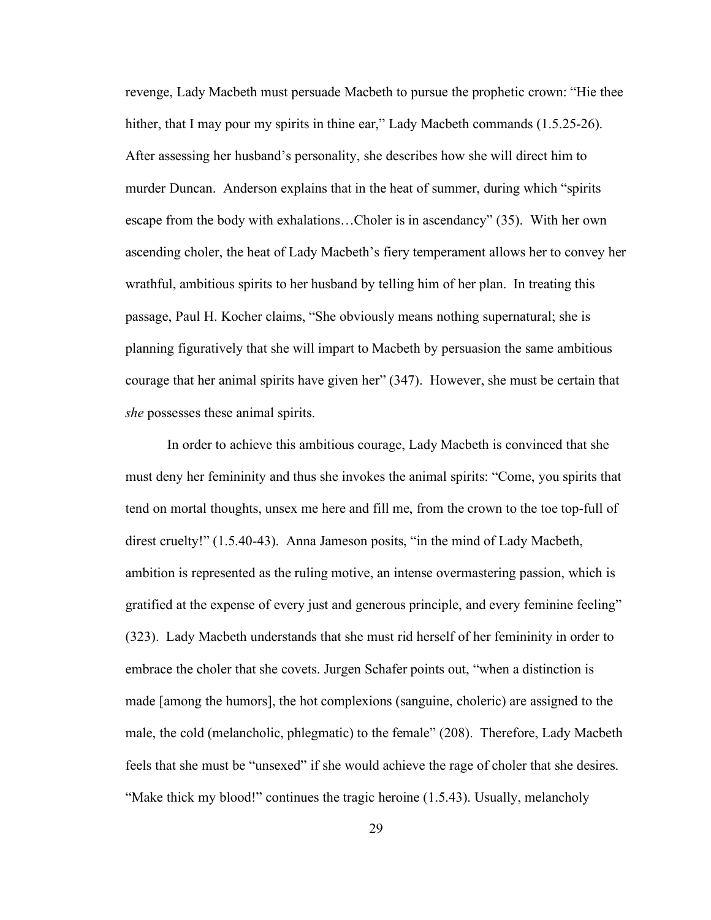revenge, Lady Macbeth must persuade Macbeth to pursue the prophetic crown: "Hie thee hither, that I may pour my spirits in thine ear," Lady Macbeth commands (1.5.25-26). After assessing her husband's personality, she describes how she will direct him to murder Duncan. Anderson explains that in the heat of summer, during which "spirits escape from the body with exhalations…Choler is in ascendancy" (35). With her own ascending choler, the heat of Lady Macbeth's fiery temperament allows her to convey her wrathful, ambitious spirits to her husband by telling him of her plan. In treating this passage, Paul H. Kocher claims, "She obviously means nothing supernatural; she is planning figuratively that she will impart to Macbeth by persuasion the same ambitious courage that her animal spirits have given her" (347). However, she must be certain that *she* possesses these animal spirits.

In order to achieve this ambitious courage, Lady Macbeth is convinced that she must deny her femininity and thus she invokes the animal spirits: "Come, you spirits that tend on mortal thoughts, unsex me here and fill me, from the crown to the toe top-full of direst cruelty!" (1.5.40-43). Anna Jameson posits, "in the mind of Lady Macbeth, ambition is represented as the ruling motive, an intense overmastering passion, which is gratified at the expense of every just and generous principle, and every feminine feeling" (323). Lady Macbeth understands that she must rid herself of her femininity in order to embrace the choler that she covets. Jurgen Schafer points out, "when a distinction is made [among the humors], the hot complexions (sanguine, choleric) are assigned to the male, the cold (melancholic, phlegmatic) to the female" (208). Therefore, Lady Macbeth feels that she must be "unsexed" if she would achieve the rage of choler that she desires. "Make thick my blood!" continues the tragic heroine (1.5.43). Usually, melancholy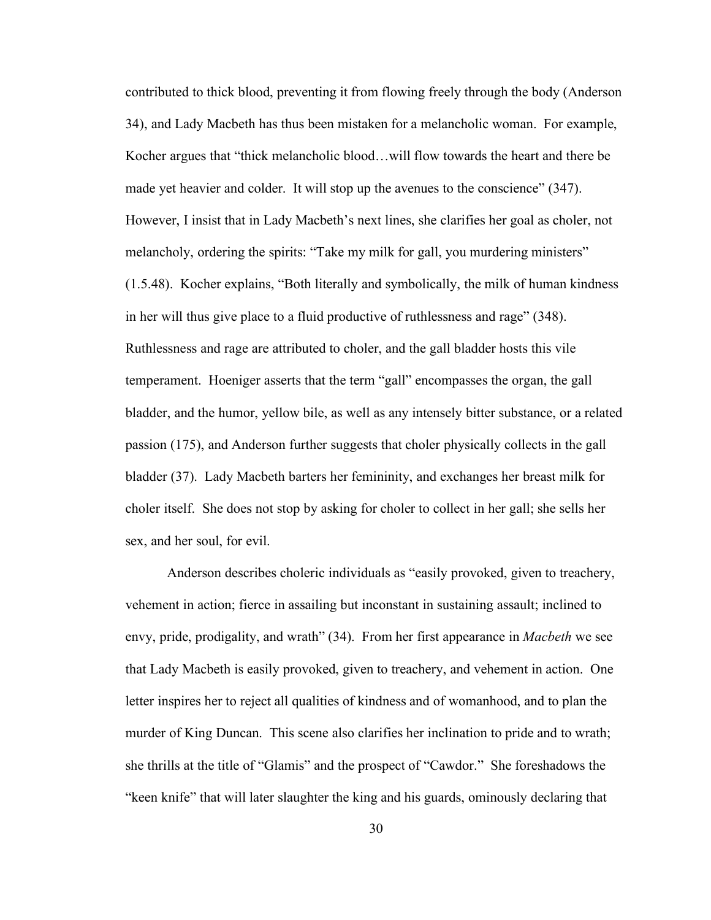contributed to thick blood, preventing it from flowing freely through the body (Anderson 34), and Lady Macbeth has thus been mistaken for a melancholic woman. For example, Kocher argues that "thick melancholic blood…will flow towards the heart and there be made yet heavier and colder. It will stop up the avenues to the conscience" (347). However, I insist that in Lady Macbeth's next lines, she clarifies her goal as choler, not melancholy, ordering the spirits: "Take my milk for gall, you murdering ministers" (1.5.48). Kocher explains, "Both literally and symbolically, the milk of human kindness in her will thus give place to a fluid productive of ruthlessness and rage" (348). Ruthlessness and rage are attributed to choler, and the gall bladder hosts this vile temperament. Hoeniger asserts that the term "gall" encompasses the organ, the gall bladder, and the humor, yellow bile, as well as any intensely bitter substance, or a related passion (175), and Anderson further suggests that choler physically collects in the gall bladder (37). Lady Macbeth barters her femininity, and exchanges her breast milk for choler itself. She does not stop by asking for choler to collect in her gall; she sells her sex, and her soul, for evil.

Anderson describes choleric individuals as "easily provoked, given to treachery, vehement in action; fierce in assailing but inconstant in sustaining assault; inclined to envy, pride, prodigality, and wrath" (34). From her first appearance in *Macbeth* we see that Lady Macbeth is easily provoked, given to treachery, and vehement in action. One letter inspires her to reject all qualities of kindness and of womanhood, and to plan the murder of King Duncan. This scene also clarifies her inclination to pride and to wrath; she thrills at the title of "Glamis" and the prospect of "Cawdor." She foreshadows the "keen knife" that will later slaughter the king and his guards, ominously declaring that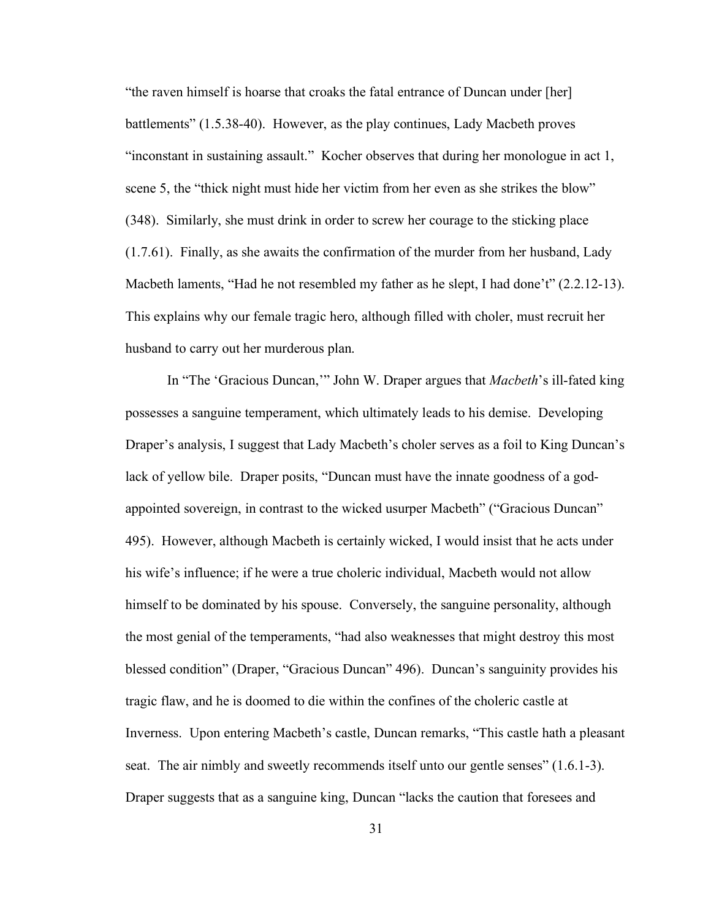"the raven himself is hoarse that croaks the fatal entrance of Duncan under [her] battlements" (1.5.38-40). However, as the play continues, Lady Macbeth proves "inconstant in sustaining assault." Kocher observes that during her monologue in act 1, scene 5, the "thick night must hide her victim from her even as she strikes the blow" (348). Similarly, she must drink in order to screw her courage to the sticking place (1.7.61). Finally, as she awaits the confirmation of the murder from her husband, Lady Macbeth laments, "Had he not resembled my father as he slept, I had done't" (2.2.12-13). This explains why our female tragic hero, although filled with choler, must recruit her husband to carry out her murderous plan.

In "The 'Gracious Duncan,'" John W. Draper argues that *Macbeth*'s ill-fated king possesses a sanguine temperament, which ultimately leads to his demise. Developing Draper's analysis, I suggest that Lady Macbeth's choler serves as a foil to King Duncan's lack of yellow bile. Draper posits, "Duncan must have the innate goodness of a godappointed sovereign, in contrast to the wicked usurper Macbeth" ("Gracious Duncan" 495). However, although Macbeth is certainly wicked, I would insist that he acts under his wife's influence; if he were a true choleric individual, Macbeth would not allow himself to be dominated by his spouse. Conversely, the sanguine personality, although the most genial of the temperaments, "had also weaknesses that might destroy this most blessed condition" (Draper, "Gracious Duncan" 496). Duncan's sanguinity provides his tragic flaw, and he is doomed to die within the confines of the choleric castle at Inverness. Upon entering Macbeth's castle, Duncan remarks, "This castle hath a pleasant seat. The air nimbly and sweetly recommends itself unto our gentle senses" (1.6.1-3). Draper suggests that as a sanguine king, Duncan "lacks the caution that foresees and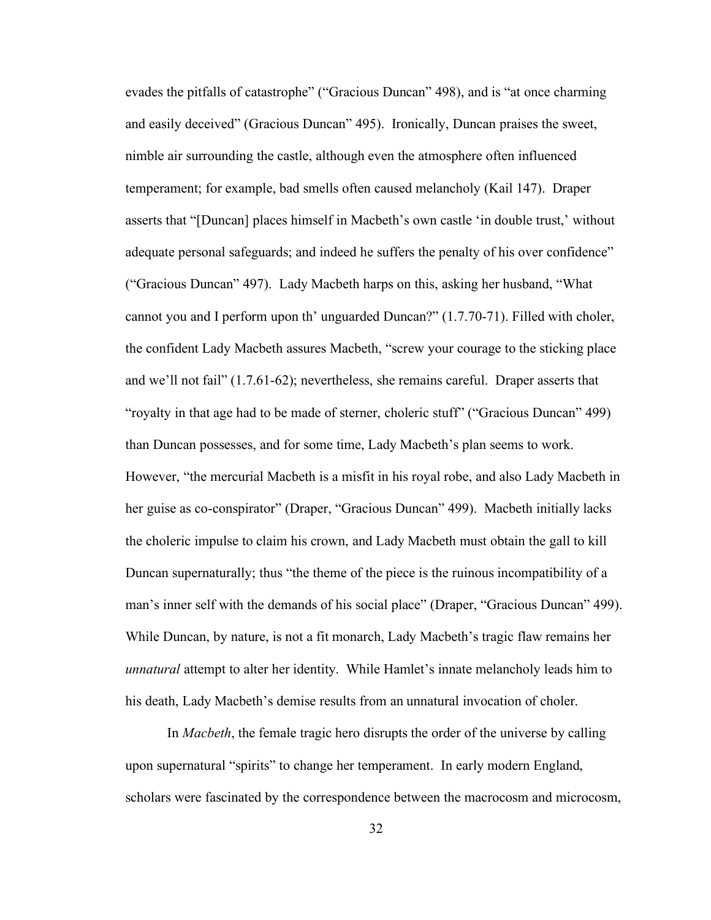evades the pitfalls of catastrophe" ("Gracious Duncan" 498), and is "at once charming and easily deceived" (Gracious Duncan" 495). Ironically, Duncan praises the sweet, nimble air surrounding the castle, although even the atmosphere often influenced temperament; for example, bad smells often caused melancholy (Kail 147). Draper asserts that "[Duncan] places himself in Macbeth's own castle 'in double trust,' without adequate personal safeguards; and indeed he suffers the penalty of his over confidence" ("Gracious Duncan" 497). Lady Macbeth harps on this, asking her husband, "What cannot you and I perform upon th' unguarded Duncan?" (1.7.70-71). Filled with choler, the confident Lady Macbeth assures Macbeth, "screw your courage to the sticking place and we'll not fail" (1.7.61-62); nevertheless, she remains careful. Draper asserts that "royalty in that age had to be made of sterner, choleric stuff" ("Gracious Duncan" 499) than Duncan possesses, and for some time, Lady Macbeth's plan seems to work. However, "the mercurial Macbeth is a misfit in his royal robe, and also Lady Macbeth in her guise as co-conspirator" (Draper, "Gracious Duncan" 499). Macbeth initially lacks the choleric impulse to claim his crown, and Lady Macbeth must obtain the gall to kill Duncan supernaturally; thus "the theme of the piece is the ruinous incompatibility of a man's inner self with the demands of his social place" (Draper, "Gracious Duncan" 499). While Duncan, by nature, is not a fit monarch, Lady Macbeth's tragic flaw remains her *unnatural* attempt to alter her identity. While Hamlet's innate melancholy leads him to his death, Lady Macbeth's demise results from an unnatural invocation of choler.

In *Macbeth*, the female tragic hero disrupts the order of the universe by calling upon supernatural "spirits" to change her temperament. In early modern England, scholars were fascinated by the correspondence between the macrocosm and microcosm,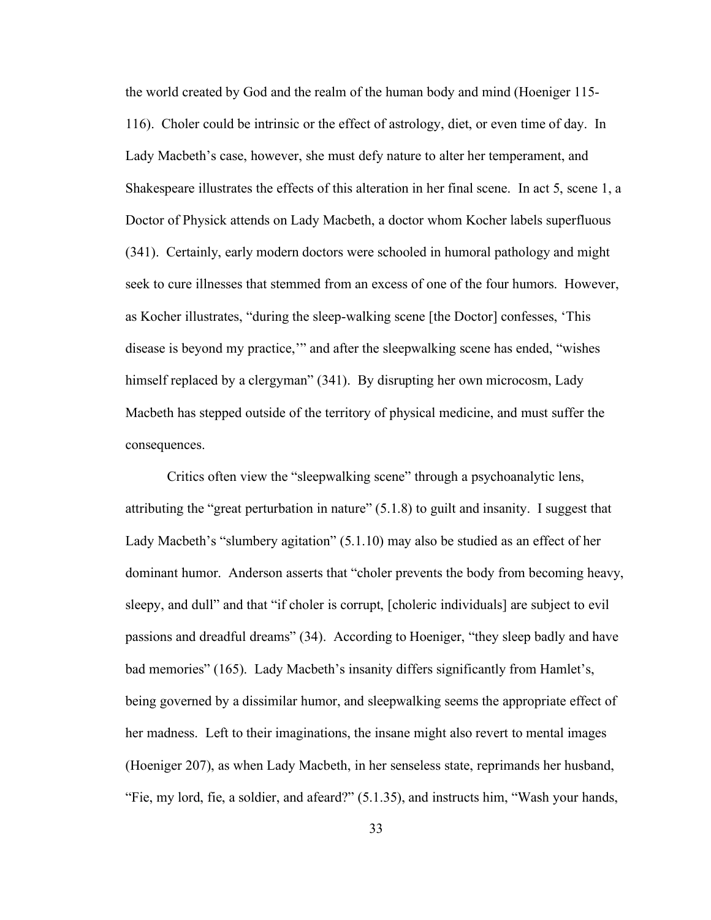the world created by God and the realm of the human body and mind (Hoeniger 115- 116). Choler could be intrinsic or the effect of astrology, diet, or even time of day. In Lady Macbeth's case, however, she must defy nature to alter her temperament, and Shakespeare illustrates the effects of this alteration in her final scene. In act 5, scene 1, a Doctor of Physick attends on Lady Macbeth, a doctor whom Kocher labels superfluous (341). Certainly, early modern doctors were schooled in humoral pathology and might seek to cure illnesses that stemmed from an excess of one of the four humors. However, as Kocher illustrates, "during the sleep-walking scene [the Doctor] confesses, 'This disease is beyond my practice,'" and after the sleepwalking scene has ended, "wishes himself replaced by a clergyman" (341). By disrupting her own microcosm, Lady Macbeth has stepped outside of the territory of physical medicine, and must suffer the consequences.

Critics often view the "sleepwalking scene" through a psychoanalytic lens, attributing the "great perturbation in nature" (5.1.8) to guilt and insanity. I suggest that Lady Macbeth's "slumbery agitation" (5.1.10) may also be studied as an effect of her dominant humor. Anderson asserts that "choler prevents the body from becoming heavy, sleepy, and dull" and that "if choler is corrupt, [choleric individuals] are subject to evil passions and dreadful dreams" (34). According to Hoeniger, "they sleep badly and have bad memories" (165). Lady Macbeth's insanity differs significantly from Hamlet's, being governed by a dissimilar humor, and sleepwalking seems the appropriate effect of her madness. Left to their imaginations, the insane might also revert to mental images (Hoeniger 207), as when Lady Macbeth, in her senseless state, reprimands her husband, "Fie, my lord, fie, a soldier, and afeard?" (5.1.35), and instructs him, "Wash your hands,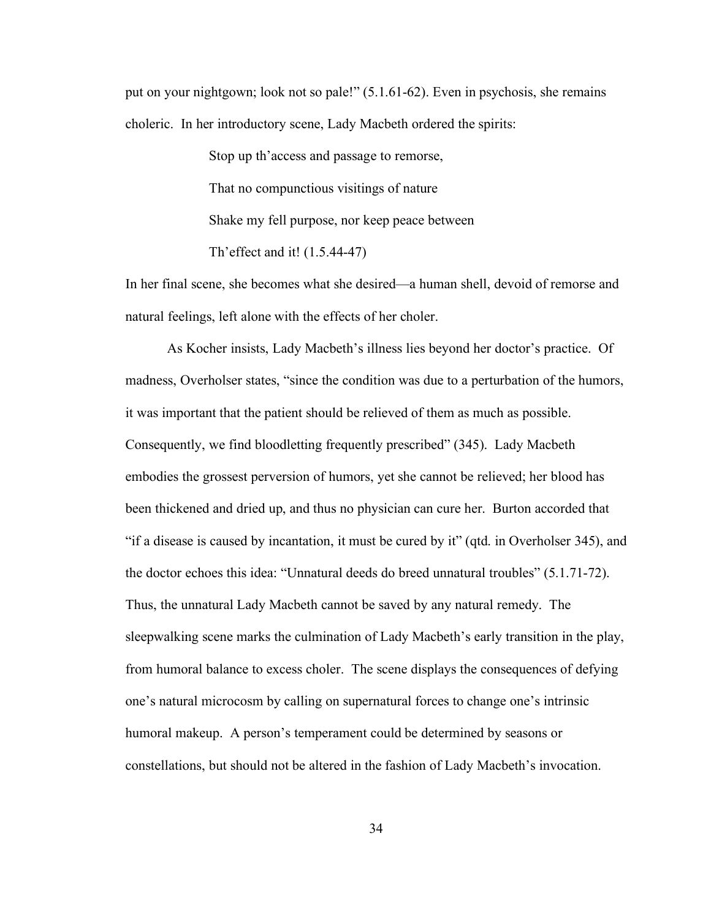put on your nightgown; look not so pale!" (5.1.61-62). Even in psychosis, she remains choleric. In her introductory scene, Lady Macbeth ordered the spirits:

> Stop up th'access and passage to remorse, That no compunctious visitings of nature Shake my fell purpose, nor keep peace between Th'effect and it! (1.5.44-47)

In her final scene, she becomes what she desired—a human shell, devoid of remorse and natural feelings, left alone with the effects of her choler.

As Kocher insists, Lady Macbeth's illness lies beyond her doctor's practice. Of madness, Overholser states, "since the condition was due to a perturbation of the humors, it was important that the patient should be relieved of them as much as possible. Consequently, we find bloodletting frequently prescribed" (345). Lady Macbeth embodies the grossest perversion of humors, yet she cannot be relieved; her blood has been thickened and dried up, and thus no physician can cure her. Burton accorded that "if a disease is caused by incantation, it must be cured by it" (qtd. in Overholser 345), and the doctor echoes this idea: "Unnatural deeds do breed unnatural troubles" (5.1.71-72). Thus, the unnatural Lady Macbeth cannot be saved by any natural remedy. The sleepwalking scene marks the culmination of Lady Macbeth's early transition in the play, from humoral balance to excess choler. The scene displays the consequences of defying one's natural microcosm by calling on supernatural forces to change one's intrinsic humoral makeup. A person's temperament could be determined by seasons or constellations, but should not be altered in the fashion of Lady Macbeth's invocation.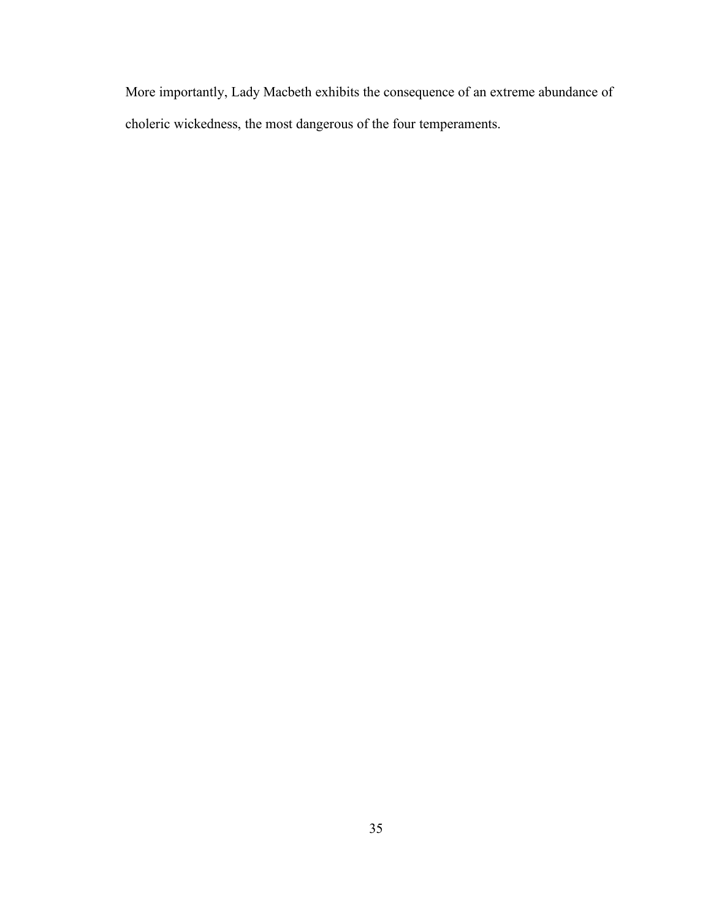More importantly, Lady Macbeth exhibits the consequence of an extreme abundance of choleric wickedness, the most dangerous of the four temperaments.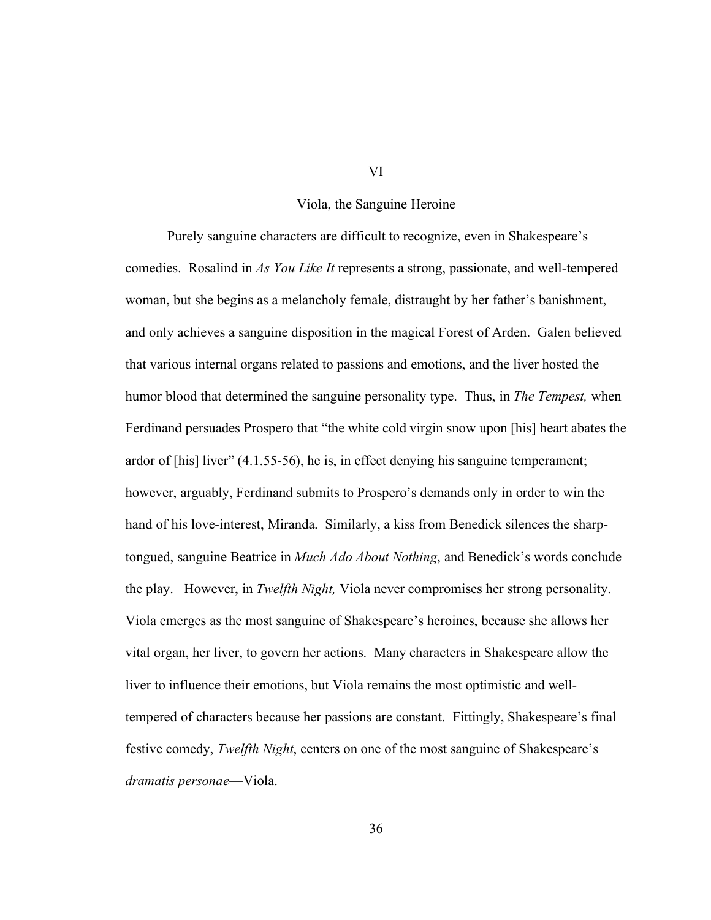#### Viola, the Sanguine Heroine

Purely sanguine characters are difficult to recognize, even in Shakespeare's comedies. Rosalind in *As You Like It* represents a strong, passionate, and well-tempered woman, but she begins as a melancholy female, distraught by her father's banishment, and only achieves a sanguine disposition in the magical Forest of Arden. Galen believed that various internal organs related to passions and emotions, and the liver hosted the humor blood that determined the sanguine personality type. Thus, in *The Tempest,* when Ferdinand persuades Prospero that "the white cold virgin snow upon [his] heart abates the ardor of [his] liver" (4.1.55-56), he is, in effect denying his sanguine temperament; however, arguably, Ferdinand submits to Prospero's demands only in order to win the hand of his love-interest, Miranda. Similarly, a kiss from Benedick silences the sharptongued, sanguine Beatrice in *Much Ado About Nothing*, and Benedick's words conclude the play. However, in *Twelfth Night,* Viola never compromises her strong personality. Viola emerges as the most sanguine of Shakespeare's heroines, because she allows her vital organ, her liver, to govern her actions. Many characters in Shakespeare allow the liver to influence their emotions, but Viola remains the most optimistic and welltempered of characters because her passions are constant. Fittingly, Shakespeare's final festive comedy, *Twelfth Night*, centers on one of the most sanguine of Shakespeare's *dramatis personae*—Viola.

VI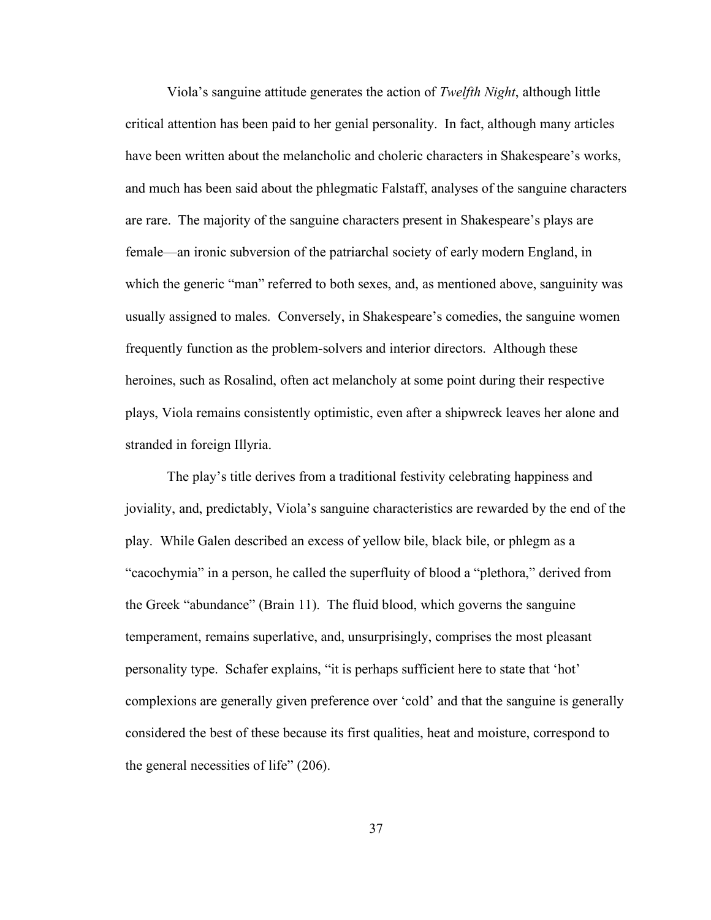Viola's sanguine attitude generates the action of *Twelfth Night*, although little critical attention has been paid to her genial personality. In fact, although many articles have been written about the melancholic and choleric characters in Shakespeare's works, and much has been said about the phlegmatic Falstaff, analyses of the sanguine characters are rare. The majority of the sanguine characters present in Shakespeare's plays are female—an ironic subversion of the patriarchal society of early modern England, in which the generic "man" referred to both sexes, and, as mentioned above, sanguinity was usually assigned to males. Conversely, in Shakespeare's comedies, the sanguine women frequently function as the problem-solvers and interior directors. Although these heroines, such as Rosalind, often act melancholy at some point during their respective plays, Viola remains consistently optimistic, even after a shipwreck leaves her alone and stranded in foreign Illyria.

The play's title derives from a traditional festivity celebrating happiness and joviality, and, predictably, Viola's sanguine characteristics are rewarded by the end of the play. While Galen described an excess of yellow bile, black bile, or phlegm as a "cacochymia" in a person, he called the superfluity of blood a "plethora," derived from the Greek "abundance" (Brain 11). The fluid blood, which governs the sanguine temperament, remains superlative, and, unsurprisingly, comprises the most pleasant personality type. Schafer explains, "it is perhaps sufficient here to state that 'hot' complexions are generally given preference over 'cold' and that the sanguine is generally considered the best of these because its first qualities, heat and moisture, correspond to the general necessities of life" (206).

37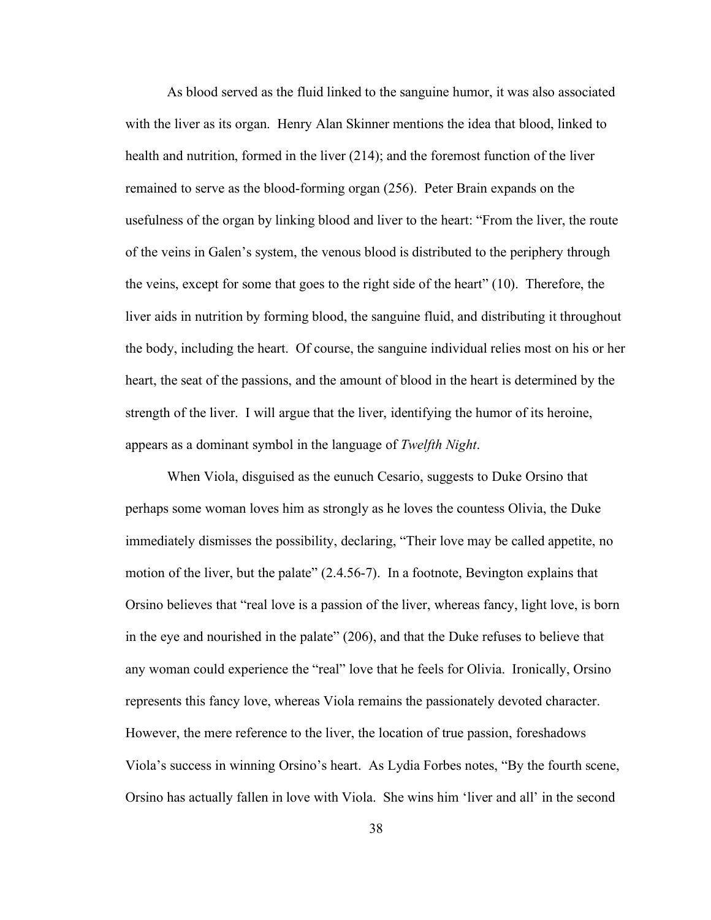As blood served as the fluid linked to the sanguine humor, it was also associated with the liver as its organ. Henry Alan Skinner mentions the idea that blood, linked to health and nutrition, formed in the liver (214); and the foremost function of the liver remained to serve as the blood-forming organ (256). Peter Brain expands on the usefulness of the organ by linking blood and liver to the heart: "From the liver, the route of the veins in Galen's system, the venous blood is distributed to the periphery through the veins, except for some that goes to the right side of the heart" (10). Therefore, the liver aids in nutrition by forming blood, the sanguine fluid, and distributing it throughout the body, including the heart. Of course, the sanguine individual relies most on his or her heart, the seat of the passions, and the amount of blood in the heart is determined by the strength of the liver. I will argue that the liver, identifying the humor of its heroine, appears as a dominant symbol in the language of *Twelfth Night*.

When Viola, disguised as the eunuch Cesario, suggests to Duke Orsino that perhaps some woman loves him as strongly as he loves the countess Olivia, the Duke immediately dismisses the possibility, declaring, "Their love may be called appetite, no motion of the liver, but the palate" (2.4.56-7). In a footnote, Bevington explains that Orsino believes that "real love is a passion of the liver, whereas fancy, light love, is born in the eye and nourished in the palate" (206), and that the Duke refuses to believe that any woman could experience the "real" love that he feels for Olivia. Ironically, Orsino represents this fancy love, whereas Viola remains the passionately devoted character. However, the mere reference to the liver, the location of true passion, foreshadows Viola's success in winning Orsino's heart. As Lydia Forbes notes, "By the fourth scene, Orsino has actually fallen in love with Viola. She wins him 'liver and all' in the second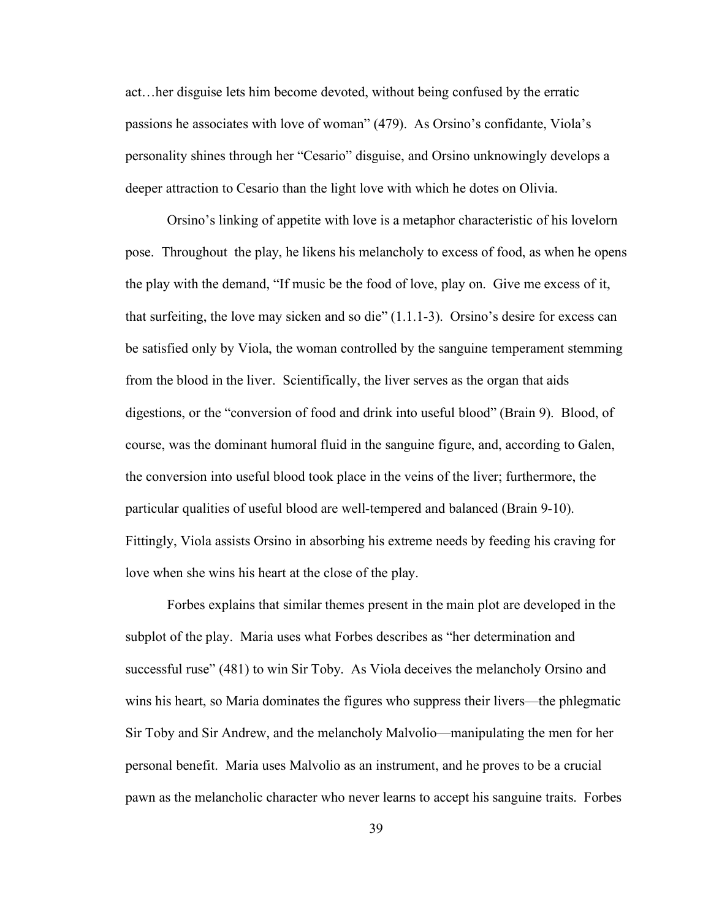act…her disguise lets him become devoted, without being confused by the erratic passions he associates with love of woman" (479). As Orsino's confidante, Viola's personality shines through her "Cesario" disguise, and Orsino unknowingly develops a deeper attraction to Cesario than the light love with which he dotes on Olivia.

Orsino's linking of appetite with love is a metaphor characteristic of his lovelorn pose. Throughout the play, he likens his melancholy to excess of food, as when he opens the play with the demand, "If music be the food of love, play on. Give me excess of it, that surfeiting, the love may sicken and so die"  $(1.1.1-3)$ . Orsino's desire for excess can be satisfied only by Viola, the woman controlled by the sanguine temperament stemming from the blood in the liver. Scientifically, the liver serves as the organ that aids digestions, or the "conversion of food and drink into useful blood" (Brain 9). Blood, of course, was the dominant humoral fluid in the sanguine figure, and, according to Galen, the conversion into useful blood took place in the veins of the liver; furthermore, the particular qualities of useful blood are well-tempered and balanced (Brain 9-10). Fittingly, Viola assists Orsino in absorbing his extreme needs by feeding his craving for love when she wins his heart at the close of the play.

Forbes explains that similar themes present in the main plot are developed in the subplot of the play. Maria uses what Forbes describes as "her determination and successful ruse" (481) to win Sir Toby. As Viola deceives the melancholy Orsino and wins his heart, so Maria dominates the figures who suppress their livers—the phlegmatic Sir Toby and Sir Andrew, and the melancholy Malvolio—manipulating the men for her personal benefit. Maria uses Malvolio as an instrument, and he proves to be a crucial pawn as the melancholic character who never learns to accept his sanguine traits. Forbes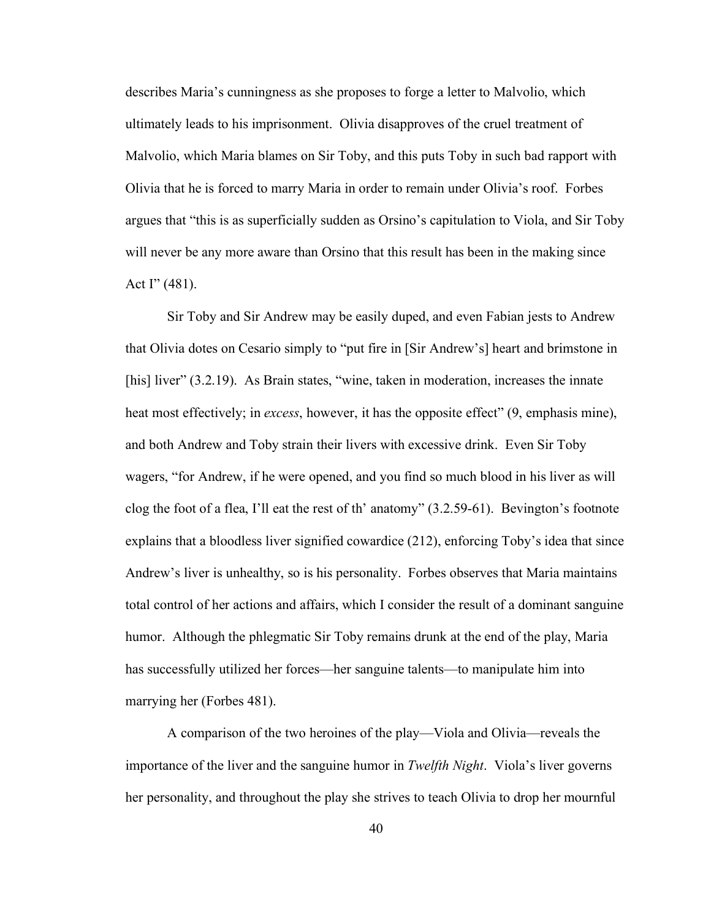describes Maria's cunningness as she proposes to forge a letter to Malvolio, which ultimately leads to his imprisonment. Olivia disapproves of the cruel treatment of Malvolio, which Maria blames on Sir Toby, and this puts Toby in such bad rapport with Olivia that he is forced to marry Maria in order to remain under Olivia's roof. Forbes argues that "this is as superficially sudden as Orsino's capitulation to Viola, and Sir Toby will never be any more aware than Orsino that this result has been in the making since Act  $I''(481)$ .

Sir Toby and Sir Andrew may be easily duped, and even Fabian jests to Andrew that Olivia dotes on Cesario simply to "put fire in [Sir Andrew's] heart and brimstone in [his] liver" (3.2.19). As Brain states, "wine, taken in moderation, increases the innate heat most effectively; in *excess*, however, it has the opposite effect" (9, emphasis mine), and both Andrew and Toby strain their livers with excessive drink. Even Sir Toby wagers, "for Andrew, if he were opened, and you find so much blood in his liver as will clog the foot of a flea, I'll eat the rest of th' anatomy" (3.2.59-61). Bevington's footnote explains that a bloodless liver signified cowardice (212), enforcing Toby's idea that since Andrew's liver is unhealthy, so is his personality. Forbes observes that Maria maintains total control of her actions and affairs, which I consider the result of a dominant sanguine humor. Although the phlegmatic Sir Toby remains drunk at the end of the play, Maria has successfully utilized her forces—her sanguine talents—to manipulate him into marrying her (Forbes 481).

A comparison of the two heroines of the play—Viola and Olivia—reveals the importance of the liver and the sanguine humor in *Twelfth Night*. Viola's liver governs her personality, and throughout the play she strives to teach Olivia to drop her mournful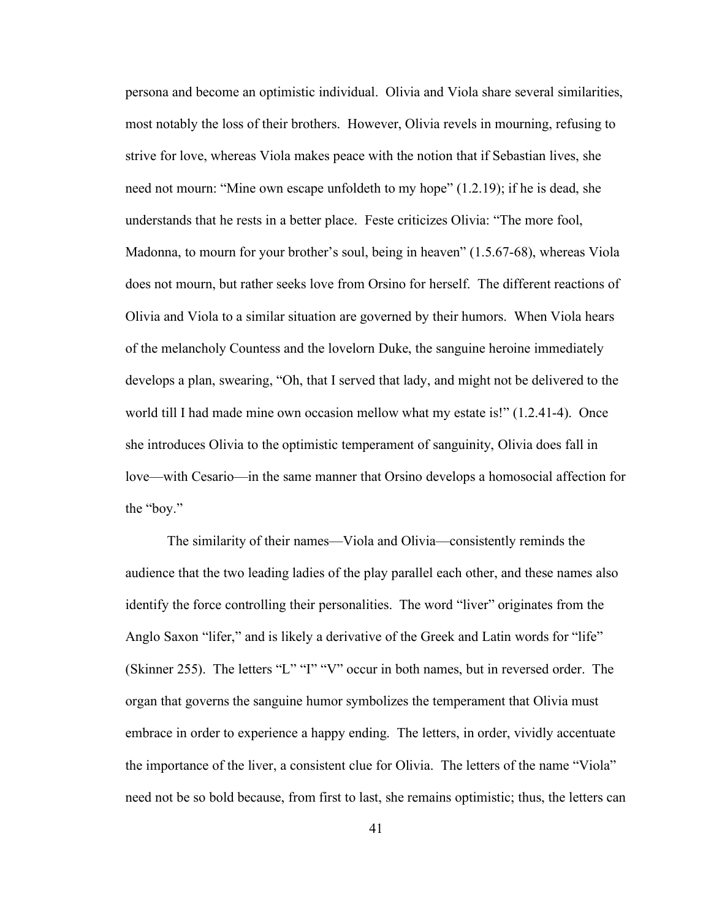persona and become an optimistic individual. Olivia and Viola share several similarities, most notably the loss of their brothers. However, Olivia revels in mourning, refusing to strive for love, whereas Viola makes peace with the notion that if Sebastian lives, she need not mourn: "Mine own escape unfoldeth to my hope" (1.2.19); if he is dead, she understands that he rests in a better place. Feste criticizes Olivia: "The more fool, Madonna, to mourn for your brother's soul, being in heaven" (1.5.67-68), whereas Viola does not mourn, but rather seeks love from Orsino for herself. The different reactions of Olivia and Viola to a similar situation are governed by their humors. When Viola hears of the melancholy Countess and the lovelorn Duke, the sanguine heroine immediately develops a plan, swearing, "Oh, that I served that lady, and might not be delivered to the world till I had made mine own occasion mellow what my estate is!" (1.2.41-4). Once she introduces Olivia to the optimistic temperament of sanguinity, Olivia does fall in love—with Cesario—in the same manner that Orsino develops a homosocial affection for the "boy."

The similarity of their names—Viola and Olivia—consistently reminds the audience that the two leading ladies of the play parallel each other, and these names also identify the force controlling their personalities. The word "liver" originates from the Anglo Saxon "lifer," and is likely a derivative of the Greek and Latin words for "life" (Skinner 255). The letters "L" "I" "V" occur in both names, but in reversed order. The organ that governs the sanguine humor symbolizes the temperament that Olivia must embrace in order to experience a happy ending. The letters, in order, vividly accentuate the importance of the liver, a consistent clue for Olivia. The letters of the name "Viola" need not be so bold because, from first to last, she remains optimistic; thus, the letters can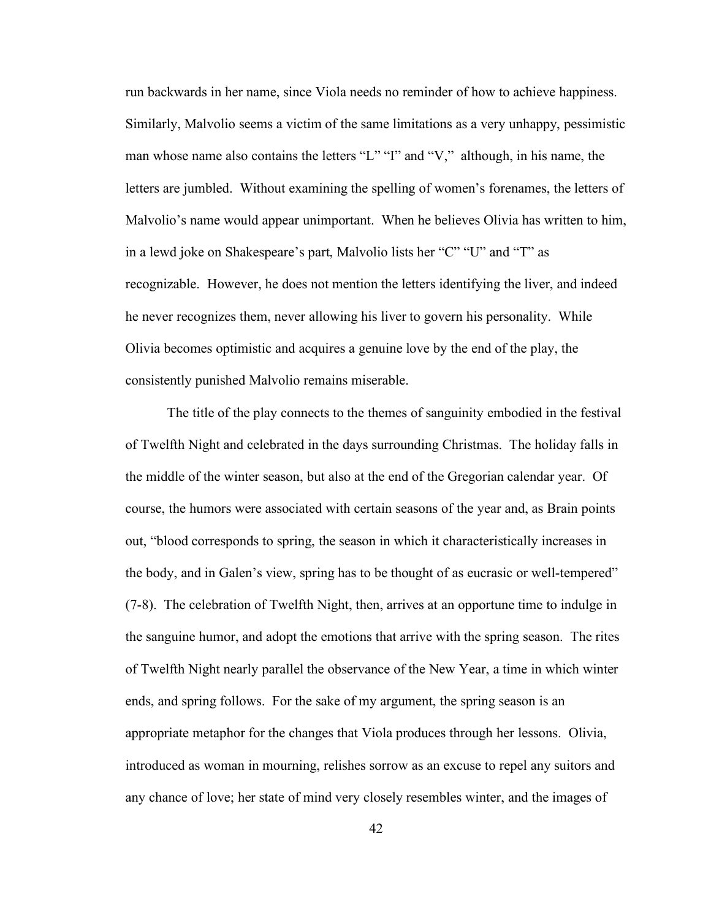run backwards in her name, since Viola needs no reminder of how to achieve happiness. Similarly, Malvolio seems a victim of the same limitations as a very unhappy, pessimistic man whose name also contains the letters "L" "I" and "V," although, in his name, the letters are jumbled. Without examining the spelling of women's forenames, the letters of Malvolio's name would appear unimportant. When he believes Olivia has written to him, in a lewd joke on Shakespeare's part, Malvolio lists her "C" "U" and "T" as recognizable. However, he does not mention the letters identifying the liver, and indeed he never recognizes them, never allowing his liver to govern his personality. While Olivia becomes optimistic and acquires a genuine love by the end of the play, the consistently punished Malvolio remains miserable.

The title of the play connects to the themes of sanguinity embodied in the festival of Twelfth Night and celebrated in the days surrounding Christmas. The holiday falls in the middle of the winter season, but also at the end of the Gregorian calendar year. Of course, the humors were associated with certain seasons of the year and, as Brain points out, "blood corresponds to spring, the season in which it characteristically increases in the body, and in Galen's view, spring has to be thought of as eucrasic or well-tempered" (7-8). The celebration of Twelfth Night, then, arrives at an opportune time to indulge in the sanguine humor, and adopt the emotions that arrive with the spring season. The rites of Twelfth Night nearly parallel the observance of the New Year, a time in which winter ends, and spring follows. For the sake of my argument, the spring season is an appropriate metaphor for the changes that Viola produces through her lessons. Olivia, introduced as woman in mourning, relishes sorrow as an excuse to repel any suitors and any chance of love; her state of mind very closely resembles winter, and the images of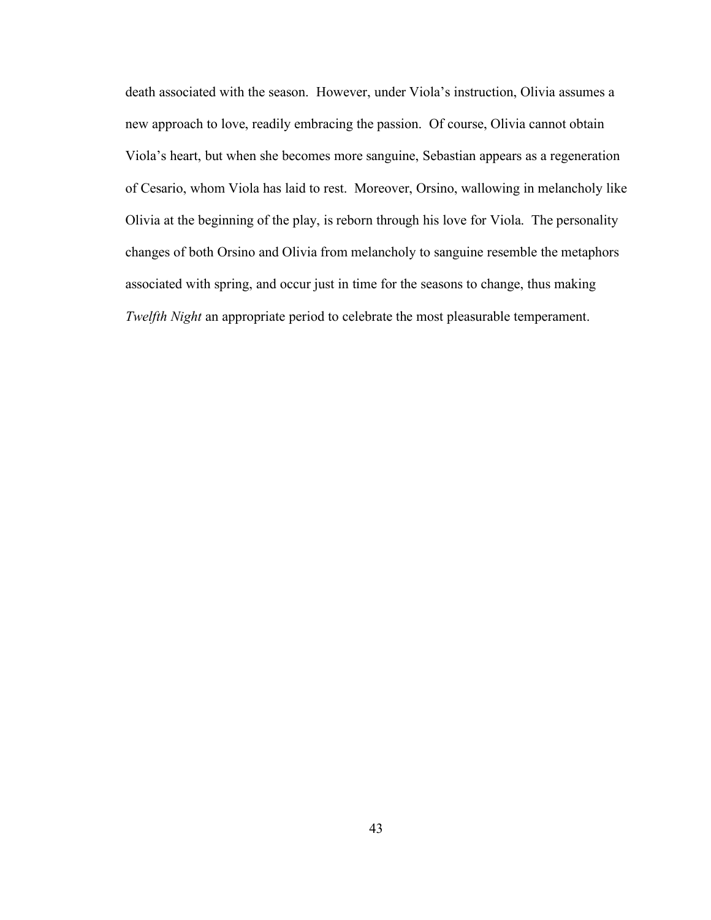death associated with the season. However, under Viola's instruction, Olivia assumes a new approach to love, readily embracing the passion. Of course, Olivia cannot obtain Viola's heart, but when she becomes more sanguine, Sebastian appears as a regeneration of Cesario, whom Viola has laid to rest. Moreover, Orsino, wallowing in melancholy like Olivia at the beginning of the play, is reborn through his love for Viola. The personality changes of both Orsino and Olivia from melancholy to sanguine resemble the metaphors associated with spring, and occur just in time for the seasons to change, thus making *Twelfth Night* an appropriate period to celebrate the most pleasurable temperament.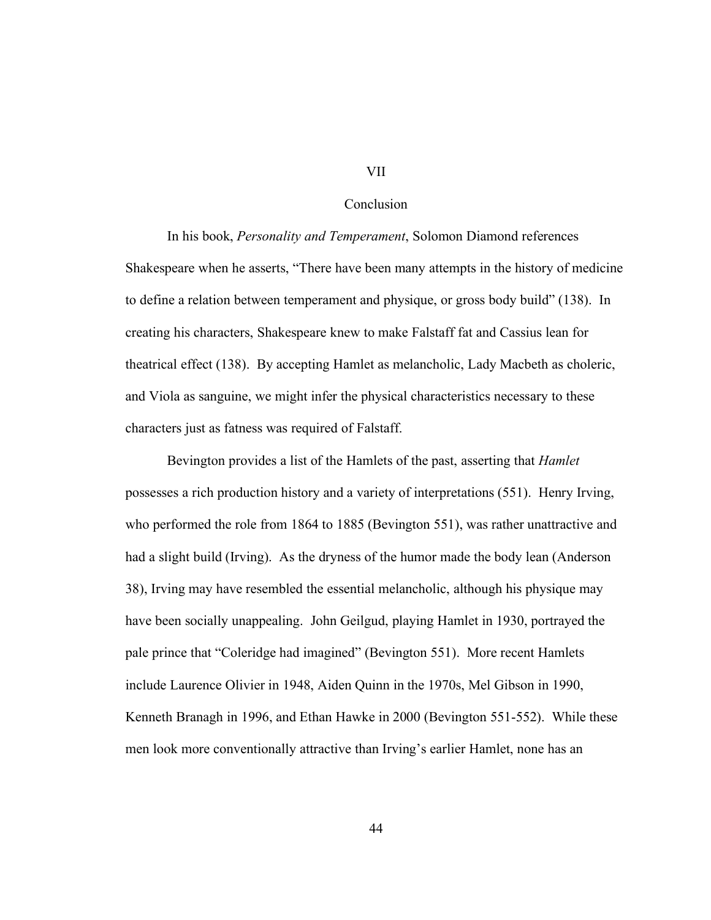#### VII

#### Conclusion

In his book, *Personality and Temperament*, Solomon Diamond references Shakespeare when he asserts, "There have been many attempts in the history of medicine to define a relation between temperament and physique, or gross body build" (138). In creating his characters, Shakespeare knew to make Falstaff fat and Cassius lean for theatrical effect (138). By accepting Hamlet as melancholic, Lady Macbeth as choleric, and Viola as sanguine, we might infer the physical characteristics necessary to these characters just as fatness was required of Falstaff.

Bevington provides a list of the Hamlets of the past, asserting that *Hamlet* possesses a rich production history and a variety of interpretations (551). Henry Irving, who performed the role from 1864 to 1885 (Bevington 551), was rather unattractive and had a slight build (Irving). As the dryness of the humor made the body lean (Anderson 38), Irving may have resembled the essential melancholic, although his physique may have been socially unappealing. John Geilgud, playing Hamlet in 1930, portrayed the pale prince that "Coleridge had imagined" (Bevington 551). More recent Hamlets include Laurence Olivier in 1948, Aiden Quinn in the 1970s, Mel Gibson in 1990, Kenneth Branagh in 1996, and Ethan Hawke in 2000 (Bevington 551-552). While these men look more conventionally attractive than Irving's earlier Hamlet, none has an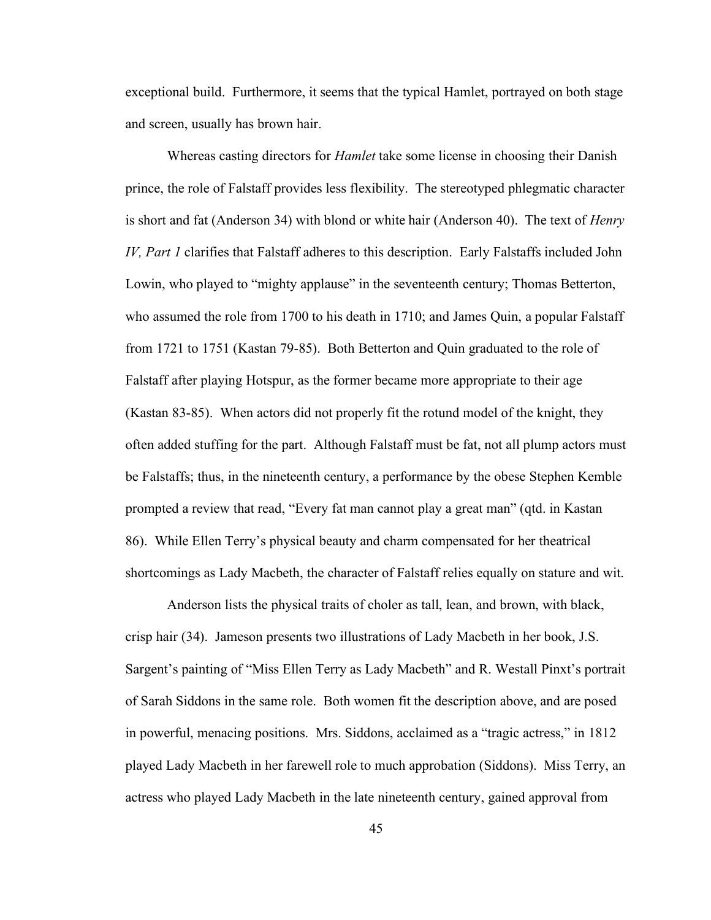exceptional build. Furthermore, it seems that the typical Hamlet, portrayed on both stage and screen, usually has brown hair.

Whereas casting directors for *Hamlet* take some license in choosing their Danish prince, the role of Falstaff provides less flexibility. The stereotyped phlegmatic character is short and fat (Anderson 34) with blond or white hair (Anderson 40). The text of *Henry IV, Part 1* clarifies that Falstaff adheres to this description. Early Falstaffs included John Lowin, who played to "mighty applause" in the seventeenth century; Thomas Betterton, who assumed the role from 1700 to his death in 1710; and James Quin, a popular Falstaff from 1721 to 1751 (Kastan 79-85). Both Betterton and Quin graduated to the role of Falstaff after playing Hotspur, as the former became more appropriate to their age (Kastan 83-85). When actors did not properly fit the rotund model of the knight, they often added stuffing for the part. Although Falstaff must be fat, not all plump actors must be Falstaffs; thus, in the nineteenth century, a performance by the obese Stephen Kemble prompted a review that read, "Every fat man cannot play a great man" (qtd. in Kastan 86). While Ellen Terry's physical beauty and charm compensated for her theatrical shortcomings as Lady Macbeth, the character of Falstaff relies equally on stature and wit.

Anderson lists the physical traits of choler as tall, lean, and brown, with black, crisp hair (34). Jameson presents two illustrations of Lady Macbeth in her book, J.S. Sargent's painting of "Miss Ellen Terry as Lady Macbeth" and R. Westall Pinxt's portrait of Sarah Siddons in the same role. Both women fit the description above, and are posed in powerful, menacing positions. Mrs. Siddons, acclaimed as a "tragic actress," in 1812 played Lady Macbeth in her farewell role to much approbation (Siddons). Miss Terry, an actress who played Lady Macbeth in the late nineteenth century, gained approval from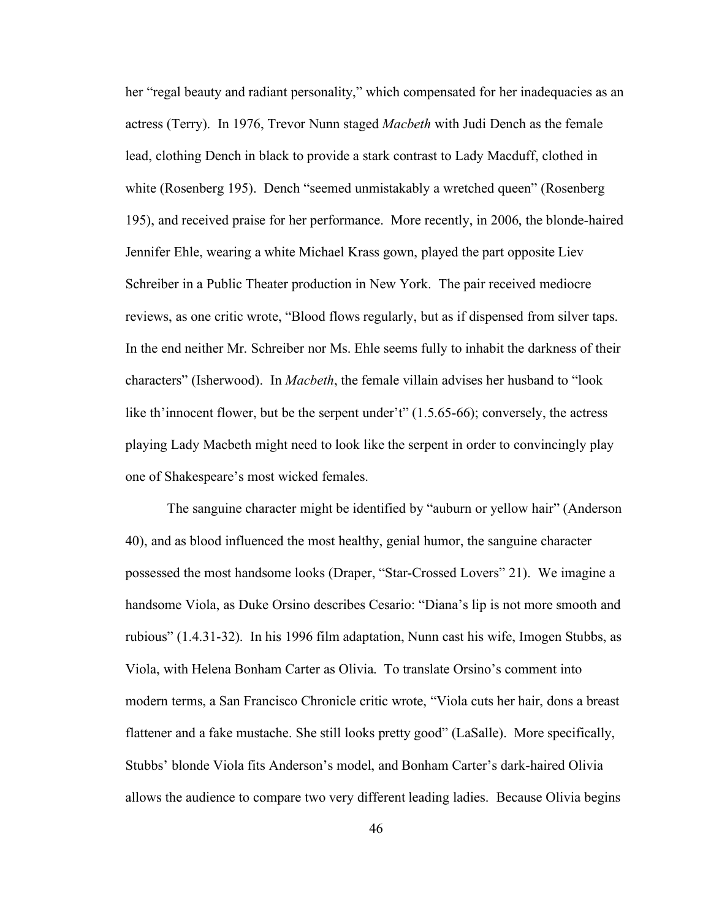her "regal beauty and radiant personality," which compensated for her inadequacies as an actress (Terry). In 1976, Trevor Nunn staged *Macbeth* with Judi Dench as the female lead, clothing Dench in black to provide a stark contrast to Lady Macduff, clothed in white (Rosenberg 195). Dench "seemed unmistakably a wretched queen" (Rosenberg 195), and received praise for her performance. More recently, in 2006, the blonde-haired Jennifer Ehle, wearing a white Michael Krass gown, played the part opposite Liev Schreiber in a Public Theater production in New York. The pair received mediocre reviews, as one critic wrote, "Blood flows regularly, but as if dispensed from silver taps. In the end neither Mr. Schreiber nor Ms. Ehle seems fully to inhabit the darkness of their characters" (Isherwood). In *Macbeth*, the female villain advises her husband to "look like th'innocent flower, but be the serpent under't" (1.5.65-66); conversely, the actress playing Lady Macbeth might need to look like the serpent in order to convincingly play one of Shakespeare's most wicked females.

The sanguine character might be identified by "auburn or yellow hair" (Anderson 40), and as blood influenced the most healthy, genial humor, the sanguine character possessed the most handsome looks (Draper, "Star-Crossed Lovers" 21). We imagine a handsome Viola, as Duke Orsino describes Cesario: "Diana's lip is not more smooth and rubious" (1.4.31-32). In his 1996 film adaptation, Nunn cast his wife, Imogen Stubbs, as Viola, with Helena Bonham Carter as Olivia. To translate Orsino's comment into modern terms, a San Francisco Chronicle critic wrote, "Viola cuts her hair, dons a breast flattener and a fake mustache. She still looks pretty good" (LaSalle). More specifically, Stubbs' blonde Viola fits Anderson's model, and Bonham Carter's dark-haired Olivia allows the audience to compare two very different leading ladies. Because Olivia begins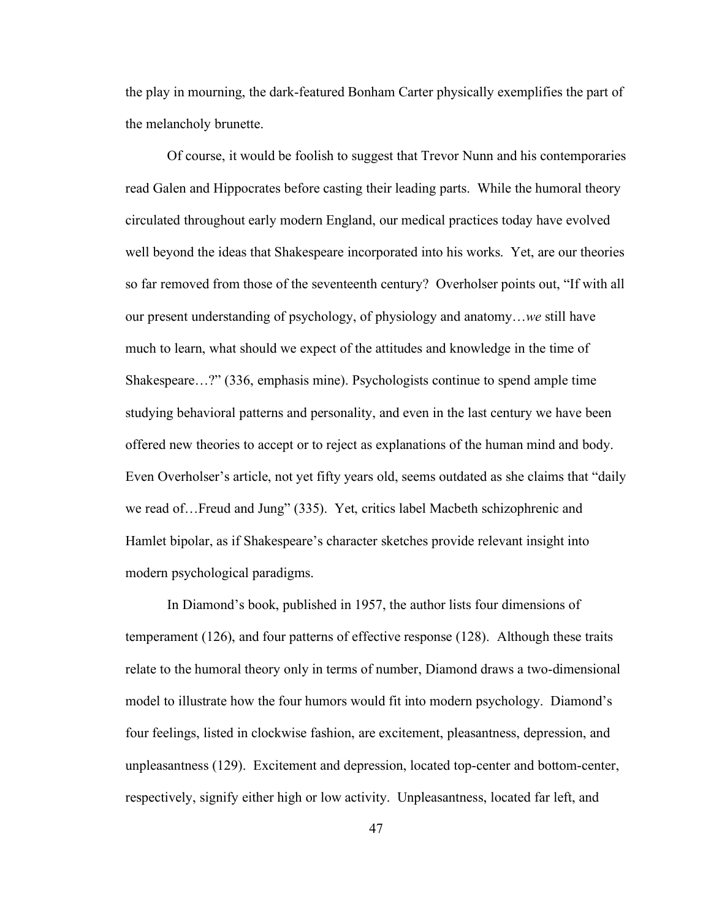the play in mourning, the dark-featured Bonham Carter physically exemplifies the part of the melancholy brunette.

Of course, it would be foolish to suggest that Trevor Nunn and his contemporaries read Galen and Hippocrates before casting their leading parts. While the humoral theory circulated throughout early modern England, our medical practices today have evolved well beyond the ideas that Shakespeare incorporated into his works. Yet, are our theories so far removed from those of the seventeenth century? Overholser points out, "If with all our present understanding of psychology, of physiology and anatomy…*we* still have much to learn, what should we expect of the attitudes and knowledge in the time of Shakespeare…?" (336, emphasis mine). Psychologists continue to spend ample time studying behavioral patterns and personality, and even in the last century we have been offered new theories to accept or to reject as explanations of the human mind and body. Even Overholser's article, not yet fifty years old, seems outdated as she claims that "daily we read of…Freud and Jung" (335). Yet, critics label Macbeth schizophrenic and Hamlet bipolar, as if Shakespeare's character sketches provide relevant insight into modern psychological paradigms.

In Diamond's book, published in 1957, the author lists four dimensions of temperament (126), and four patterns of effective response (128). Although these traits relate to the humoral theory only in terms of number, Diamond draws a two-dimensional model to illustrate how the four humors would fit into modern psychology. Diamond's four feelings, listed in clockwise fashion, are excitement, pleasantness, depression, and unpleasantness (129). Excitement and depression, located top-center and bottom-center, respectively, signify either high or low activity. Unpleasantness, located far left, and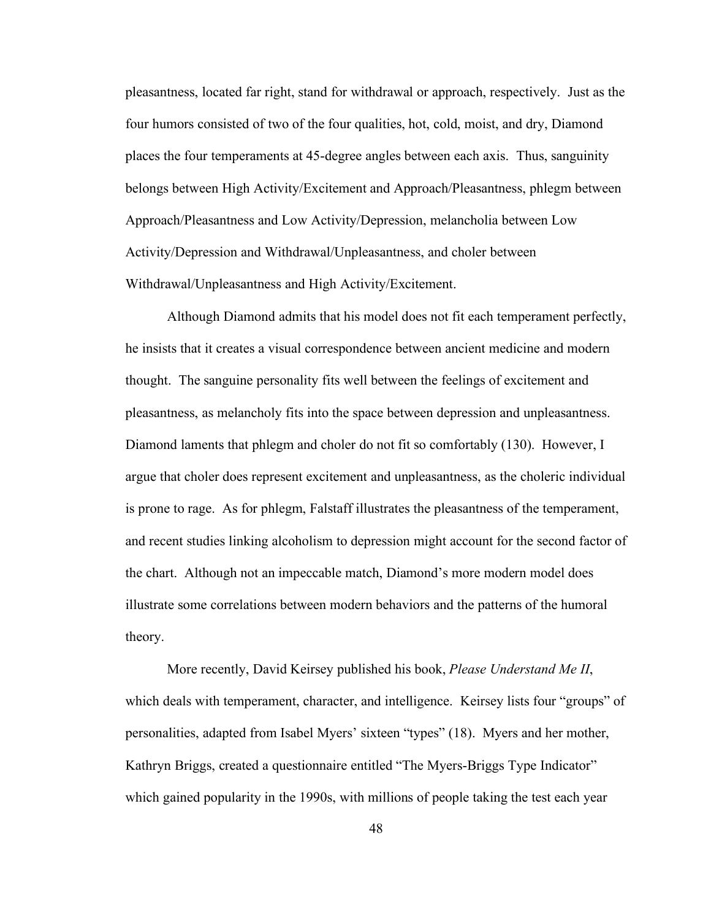pleasantness, located far right, stand for withdrawal or approach, respectively. Just as the four humors consisted of two of the four qualities, hot, cold, moist, and dry, Diamond places the four temperaments at 45-degree angles between each axis. Thus, sanguinity belongs between High Activity/Excitement and Approach/Pleasantness, phlegm between Approach/Pleasantness and Low Activity/Depression, melancholia between Low Activity/Depression and Withdrawal/Unpleasantness, and choler between Withdrawal/Unpleasantness and High Activity/Excitement.

Although Diamond admits that his model does not fit each temperament perfectly, he insists that it creates a visual correspondence between ancient medicine and modern thought. The sanguine personality fits well between the feelings of excitement and pleasantness, as melancholy fits into the space between depression and unpleasantness. Diamond laments that phlegm and choler do not fit so comfortably (130). However, I argue that choler does represent excitement and unpleasantness, as the choleric individual is prone to rage. As for phlegm, Falstaff illustrates the pleasantness of the temperament, and recent studies linking alcoholism to depression might account for the second factor of the chart. Although not an impeccable match, Diamond's more modern model does illustrate some correlations between modern behaviors and the patterns of the humoral theory.

More recently, David Keirsey published his book, *Please Understand Me II*, which deals with temperament, character, and intelligence. Keirsey lists four "groups" of personalities, adapted from Isabel Myers' sixteen "types" (18). Myers and her mother, Kathryn Briggs, created a questionnaire entitled "The Myers-Briggs Type Indicator" which gained popularity in the 1990s, with millions of people taking the test each year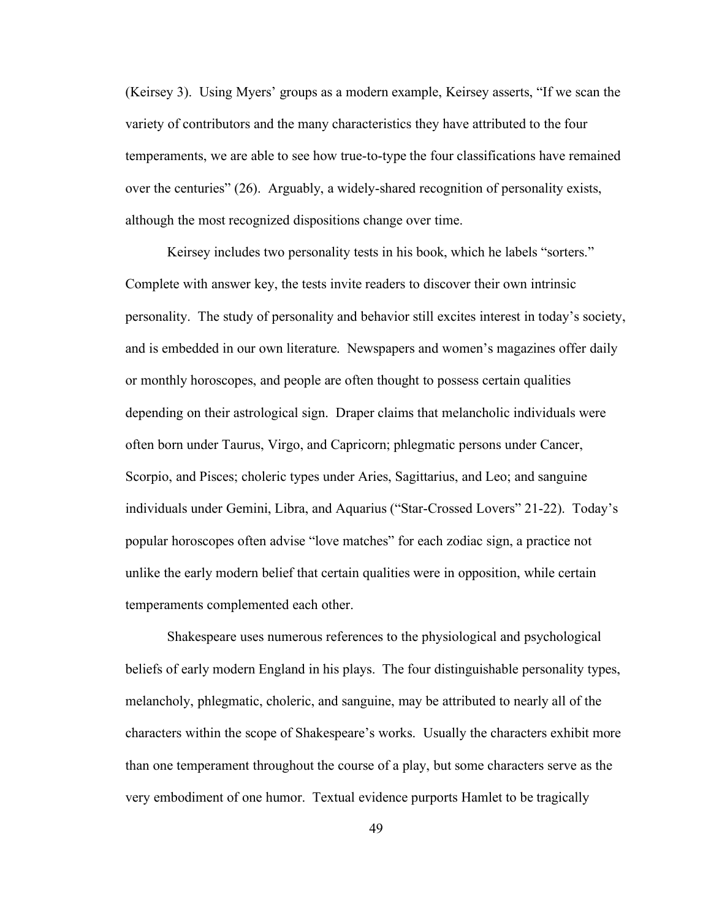(Keirsey 3). Using Myers' groups as a modern example, Keirsey asserts, "If we scan the variety of contributors and the many characteristics they have attributed to the four temperaments, we are able to see how true-to-type the four classifications have remained over the centuries" (26). Arguably, a widely-shared recognition of personality exists, although the most recognized dispositions change over time.

Keirsey includes two personality tests in his book, which he labels "sorters." Complete with answer key, the tests invite readers to discover their own intrinsic personality. The study of personality and behavior still excites interest in today's society, and is embedded in our own literature. Newspapers and women's magazines offer daily or monthly horoscopes, and people are often thought to possess certain qualities depending on their astrological sign. Draper claims that melancholic individuals were often born under Taurus, Virgo, and Capricorn; phlegmatic persons under Cancer, Scorpio, and Pisces; choleric types under Aries, Sagittarius, and Leo; and sanguine individuals under Gemini, Libra, and Aquarius ("Star-Crossed Lovers" 21-22). Today's popular horoscopes often advise "love matches" for each zodiac sign, a practice not unlike the early modern belief that certain qualities were in opposition, while certain temperaments complemented each other.

Shakespeare uses numerous references to the physiological and psychological beliefs of early modern England in his plays. The four distinguishable personality types, melancholy, phlegmatic, choleric, and sanguine, may be attributed to nearly all of the characters within the scope of Shakespeare's works. Usually the characters exhibit more than one temperament throughout the course of a play, but some characters serve as the very embodiment of one humor. Textual evidence purports Hamlet to be tragically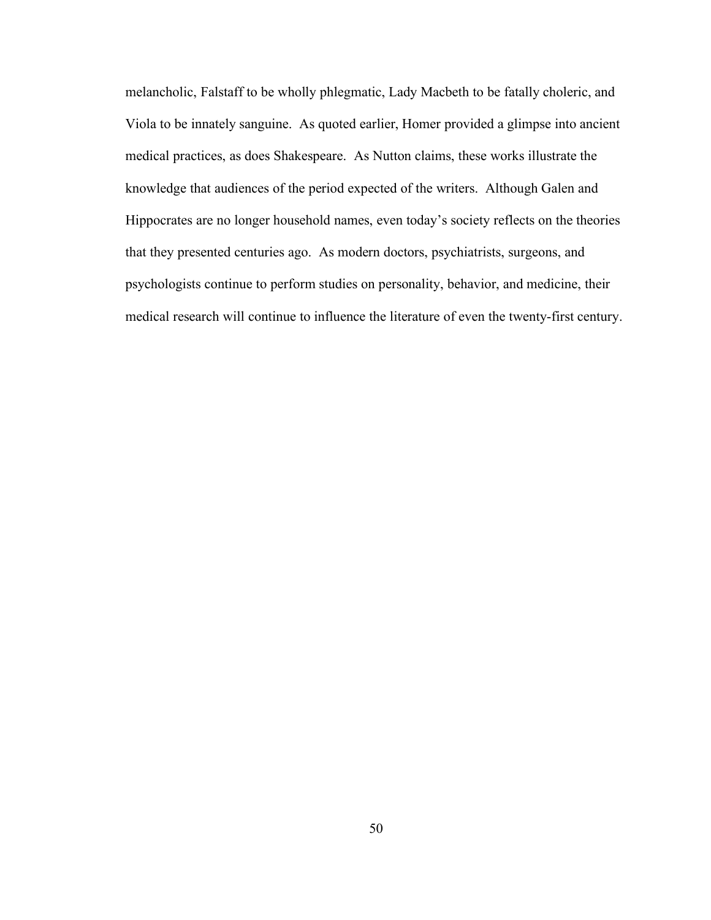melancholic, Falstaff to be wholly phlegmatic, Lady Macbeth to be fatally choleric, and Viola to be innately sanguine. As quoted earlier, Homer provided a glimpse into ancient medical practices, as does Shakespeare. As Nutton claims, these works illustrate the knowledge that audiences of the period expected of the writers. Although Galen and Hippocrates are no longer household names, even today's society reflects on the theories that they presented centuries ago. As modern doctors, psychiatrists, surgeons, and psychologists continue to perform studies on personality, behavior, and medicine, their medical research will continue to influence the literature of even the twenty-first century.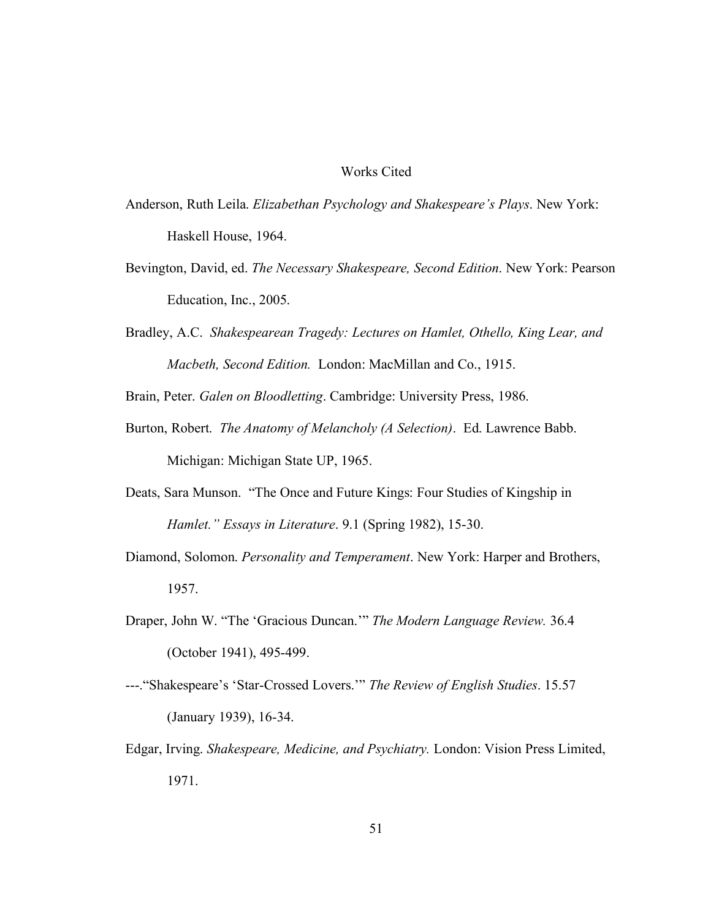#### Works Cited

- Anderson, Ruth Leila. *Elizabethan Psychology and Shakespeare's Plays*. New York: Haskell House, 1964.
- Bevington, David, ed. *The Necessary Shakespeare, Second Edition*. New York: Pearson Education, Inc., 2005.
- Bradley, A.C. *Shakespearean Tragedy: Lectures on Hamlet, Othello, King Lear, and Macbeth, Second Edition.* London: MacMillan and Co., 1915.

Brain, Peter. *Galen on Bloodletting*. Cambridge: University Press, 1986.

- Burton, Robert. *The Anatomy of Melancholy (A Selection)*. Ed. Lawrence Babb. Michigan: Michigan State UP, 1965.
- Deats, Sara Munson. "The Once and Future Kings: Four Studies of Kingship in *Hamlet." Essays in Literature*. 9.1 (Spring 1982), 15-30.
- Diamond, Solomon. *Personality and Temperament*. New York: Harper and Brothers, 1957.
- Draper, John W. "The 'Gracious Duncan.'" *The Modern Language Review.* 36.4 (October 1941), 495-499.
- ---."Shakespeare's 'Star-Crossed Lovers.'" *The Review of English Studies*. 15.57 (January 1939), 16-34.
- Edgar, Irving. *Shakespeare, Medicine, and Psychiatry.* London: Vision Press Limited, 1971.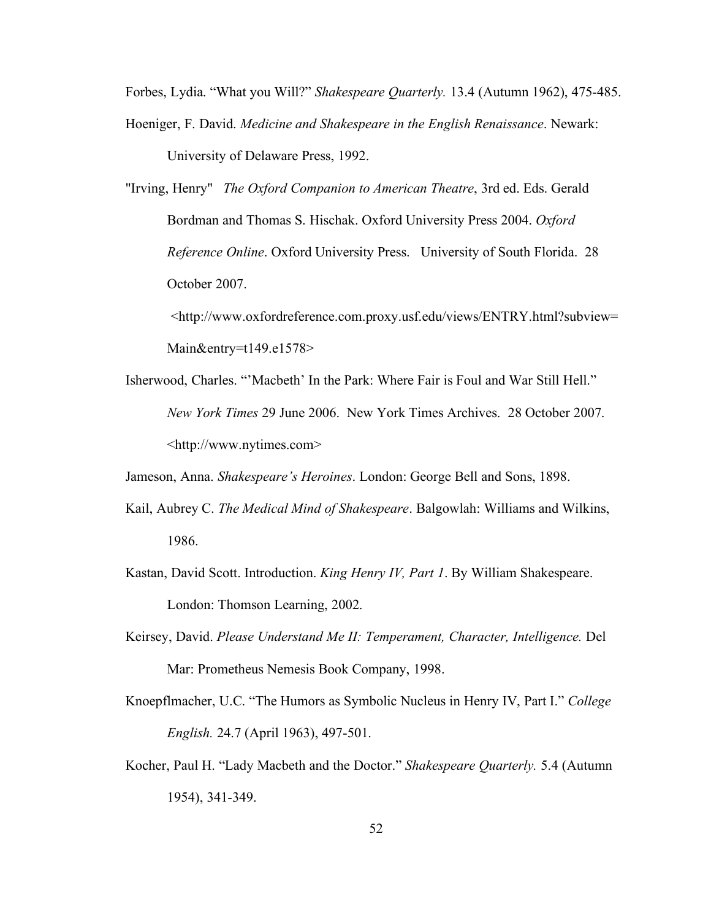Forbes, Lydia. "What you Will?" *Shakespeare Quarterly.* 13.4 (Autumn 1962), 475-485.

- Hoeniger, F. David. *Medicine and Shakespeare in the English Renaissance*. Newark: University of Delaware Press, 1992.
- "Irving, Henry" *The Oxford Companion to American Theatre*, 3rd ed. Eds. Gerald Bordman and Thomas S. Hischak. Oxford University Press 2004. *Oxford Reference Online*. Oxford University Press. University of South Florida. 28 October 2007.

<http://www.oxfordreference.com.proxy.usf.edu/views/ENTRY.html?subview= Main&entry=t149.e1578>

Isherwood, Charles. "'Macbeth' In the Park: Where Fair is Foul and War Still Hell." *New York Times* 29 June 2006. New York Times Archives. 28 October 2007. <http://www.nytimes.com>

Jameson, Anna. *Shakespeare's Heroines*. London: George Bell and Sons, 1898.

- Kail, Aubrey C. *The Medical Mind of Shakespeare*. Balgowlah: Williams and Wilkins, 1986.
- Kastan, David Scott. Introduction. *King Henry IV, Part 1*. By William Shakespeare. London: Thomson Learning, 2002.
- Keirsey, David. *Please Understand Me II: Temperament, Character, Intelligence.* Del Mar: Prometheus Nemesis Book Company, 1998.
- Knoepflmacher, U.C. "The Humors as Symbolic Nucleus in Henry IV, Part I." *College English.* 24.7 (April 1963), 497-501.
- Kocher, Paul H. "Lady Macbeth and the Doctor." *Shakespeare Quarterly.* 5.4 (Autumn 1954), 341-349.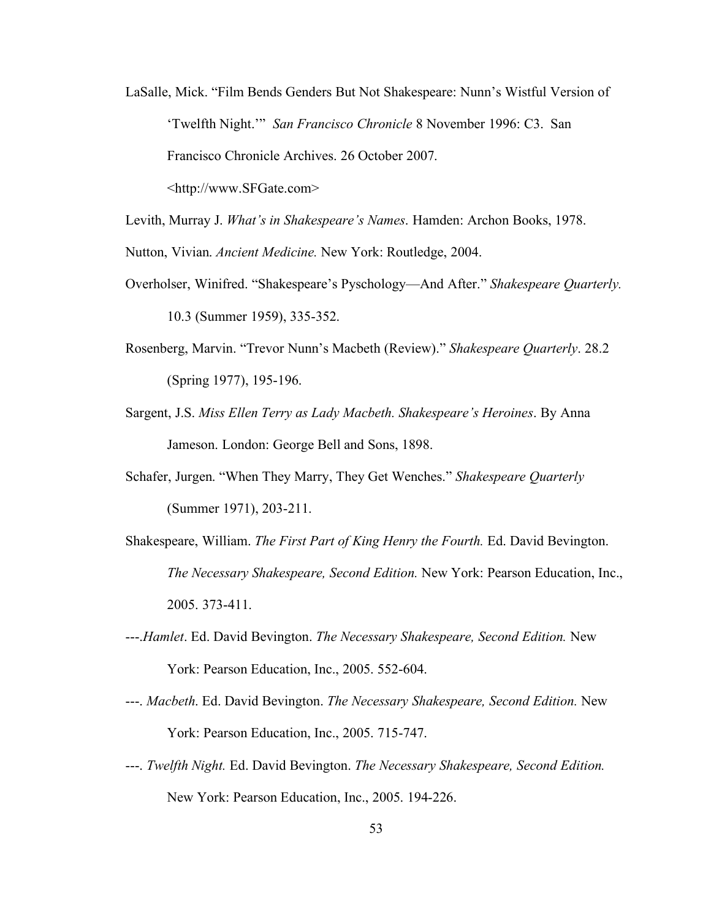- LaSalle, Mick. "Film Bends Genders But Not Shakespeare: Nunn's Wistful Version of 'Twelfth Night.'" *San Francisco Chronicle* 8 November 1996: C3. San Francisco Chronicle Archives. 26 October 2007. <http://www.SFGate.com>
- Levith, Murray J. *What's in Shakespeare's Names*. Hamden: Archon Books, 1978.

Nutton, Vivian. *Ancient Medicine.* New York: Routledge, 2004.

- Overholser, Winifred. "Shakespeare's Pyschology—And After." *Shakespeare Quarterly.* 10.3 (Summer 1959), 335-352.
- Rosenberg, Marvin. "Trevor Nunn's Macbeth (Review)." *Shakespeare Quarterly*. 28.2 (Spring 1977), 195-196.
- Sargent, J.S. *Miss Ellen Terry as Lady Macbeth. Shakespeare's Heroines*. By Anna Jameson. London: George Bell and Sons, 1898.
- Schafer, Jurgen. "When They Marry, They Get Wenches." *Shakespeare Quarterly* (Summer 1971), 203-211.
- Shakespeare, William. *The First Part of King Henry the Fourth.* Ed. David Bevington. *The Necessary Shakespeare, Second Edition.* New York: Pearson Education, Inc., 2005. 373-411.
- ---.*Hamlet*. Ed. David Bevington. *The Necessary Shakespeare, Second Edition.* New York: Pearson Education, Inc., 2005. 552-604.
- ---. *Macbeth*. Ed. David Bevington. *The Necessary Shakespeare, Second Edition.* New York: Pearson Education, Inc., 2005. 715-747.
- ---. *Twelfth Night.* Ed. David Bevington. *The Necessary Shakespeare, Second Edition.* New York: Pearson Education, Inc., 2005. 194-226.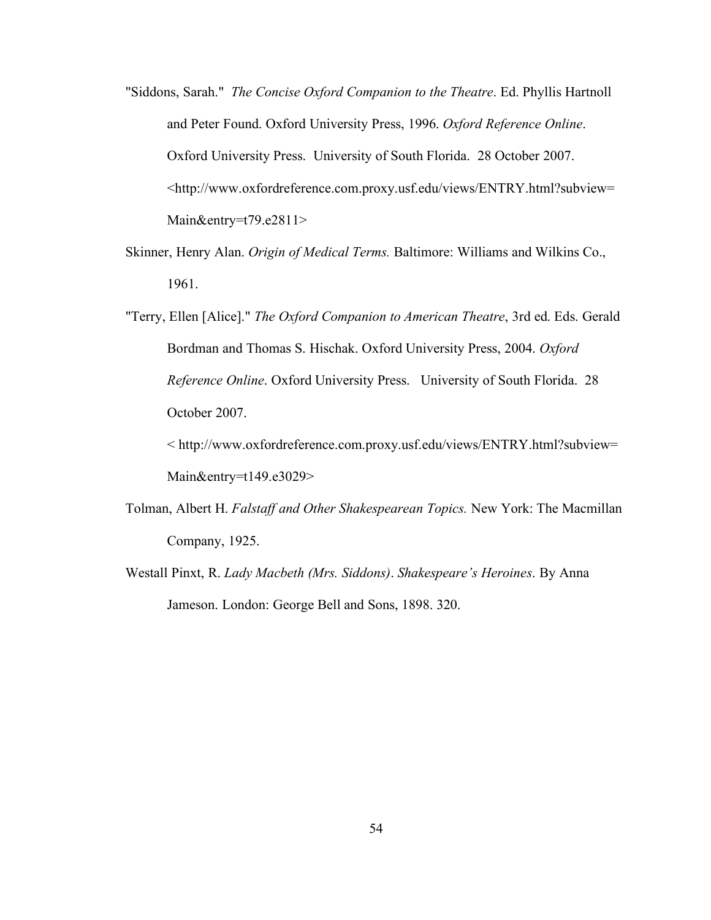- "Siddons, Sarah." *The Concise Oxford Companion to the Theatre*. Ed. Phyllis Hartnoll and Peter Found. Oxford University Press, 1996. *Oxford Reference Online*. Oxford University Press. University of South Florida. 28 October 2007. <http://www.oxfordreference.com.proxy.usf.edu/views/ENTRY.html?subview= Main&entry=t79.e2811>
- Skinner, Henry Alan. *Origin of Medical Terms.* Baltimore: Williams and Wilkins Co., 1961.
- "Terry, Ellen [Alice]." *The Oxford Companion to American Theatre*, 3rd ed. Eds. Gerald Bordman and Thomas S. Hischak. Oxford University Press, 2004. *Oxford Reference Online*. Oxford University Press. University of South Florida. 28 October 2007.

< http://www.oxfordreference.com.proxy.usf.edu/views/ENTRY.html?subview= Main&entry=t149.e3029>

- Tolman, Albert H. *Falstaff and Other Shakespearean Topics.* New York: The Macmillan Company, 1925.
- Westall Pinxt, R. *Lady Macbeth (Mrs. Siddons)*. *Shakespeare's Heroines*. By Anna Jameson. London: George Bell and Sons, 1898. 320.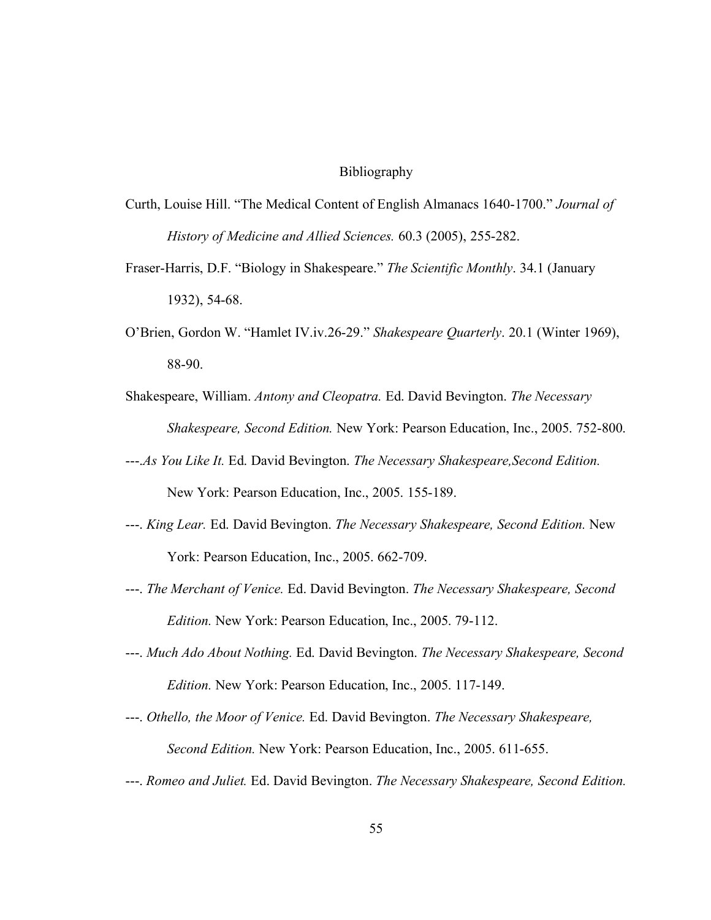#### Bibliography

- Curth, Louise Hill. "The Medical Content of English Almanacs 1640-1700." *Journal of History of Medicine and Allied Sciences.* 60.3 (2005), 255-282.
- Fraser-Harris, D.F. "Biology in Shakespeare." *The Scientific Monthly*. 34.1 (January 1932), 54-68.
- O'Brien, Gordon W. "Hamlet IV.iv.26-29." *Shakespeare Quarterly*. 20.1 (Winter 1969), 88-90.
- Shakespeare, William. *Antony and Cleopatra.* Ed. David Bevington. *The Necessary Shakespeare, Second Edition.* New York: Pearson Education, Inc., 2005. 752-800.
- ---.*As You Like It.* Ed. David Bevington. *The Necessary Shakespeare,Second Edition.* New York: Pearson Education, Inc., 2005. 155-189.
- ---. *King Lear.* Ed. David Bevington. *The Necessary Shakespeare, Second Edition.* New York: Pearson Education, Inc., 2005. 662-709.
- ---. *The Merchant of Venice.* Ed. David Bevington. *The Necessary Shakespeare, Second Edition.* New York: Pearson Education, Inc., 2005. 79-112.
- ---. *Much Ado About Nothing.* Ed. David Bevington. *The Necessary Shakespeare, Second Edition.* New York: Pearson Education, Inc., 2005. 117-149.
- ---. *Othello, the Moor of Venice.* Ed. David Bevington. *The Necessary Shakespeare, Second Edition.* New York: Pearson Education, Inc., 2005. 611-655.
- ---. *Romeo and Juliet.* Ed. David Bevington. *The Necessary Shakespeare, Second Edition.*